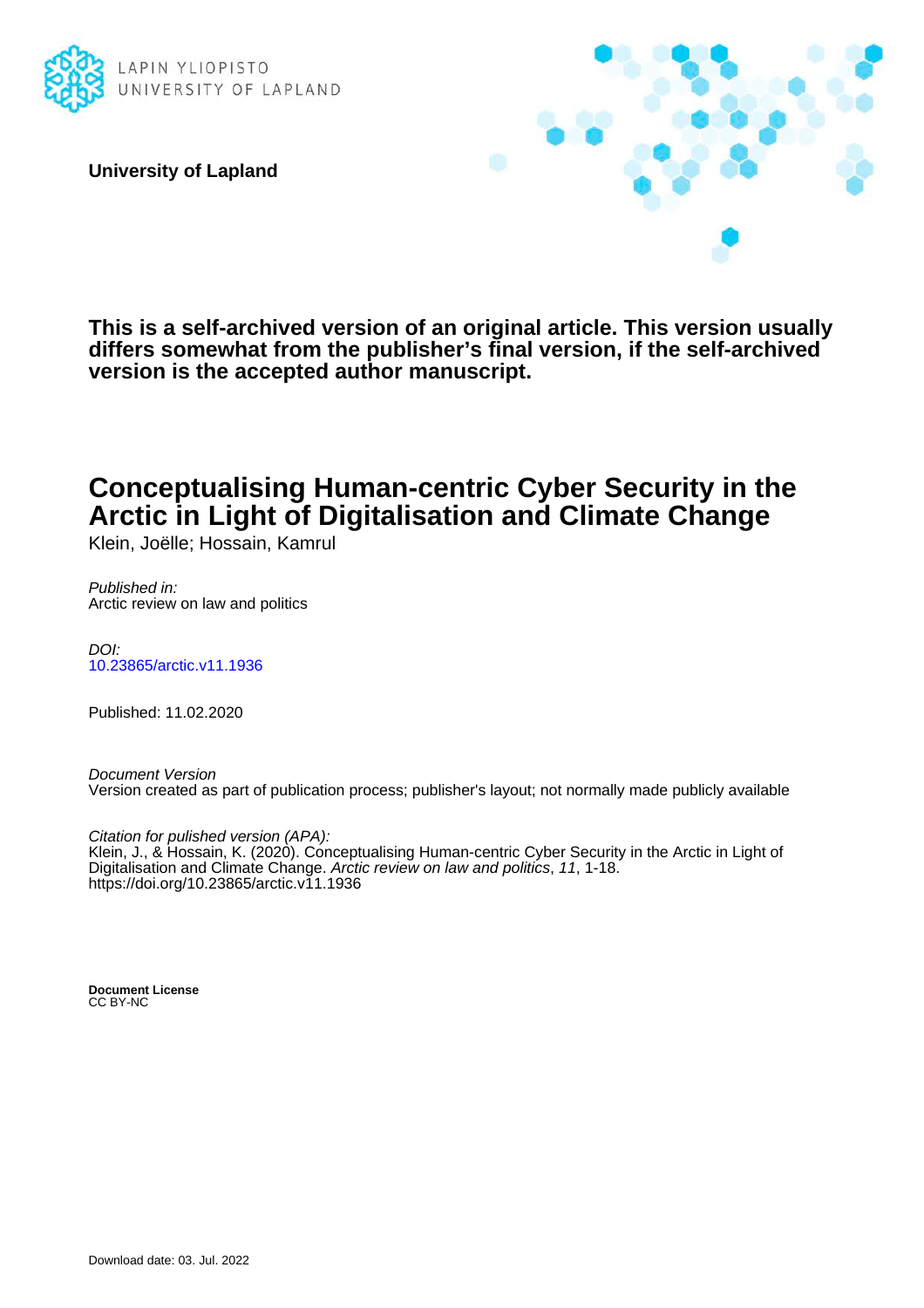

**University of Lapland**



**This is a self-archived version of an original article. This version usually differs somewhat from the publisher's final version, if the self-archived version is the accepted author manuscript.**

## **Conceptualising Human-centric Cyber Security in the Arctic in Light of Digitalisation and Climate Change**

Klein, Joëlle; Hossain, Kamrul

Published in: Arctic review on law and politics

DOI: [10.23865/arctic.v11.1936](https://doi.org/10.23865/arctic.v11.1936)

Published: 11.02.2020

Document Version Version created as part of publication process; publisher's layout; not normally made publicly available

Citation for pulished version (APA): Klein, J., & Hossain, K. (2020). Conceptualising Human-centric Cyber Security in the Arctic in Light of Digitalisation and Climate Change. Arctic review on law and politics, 11, 1-18. <https://doi.org/10.23865/arctic.v11.1936>

**Document License** CC BY-NC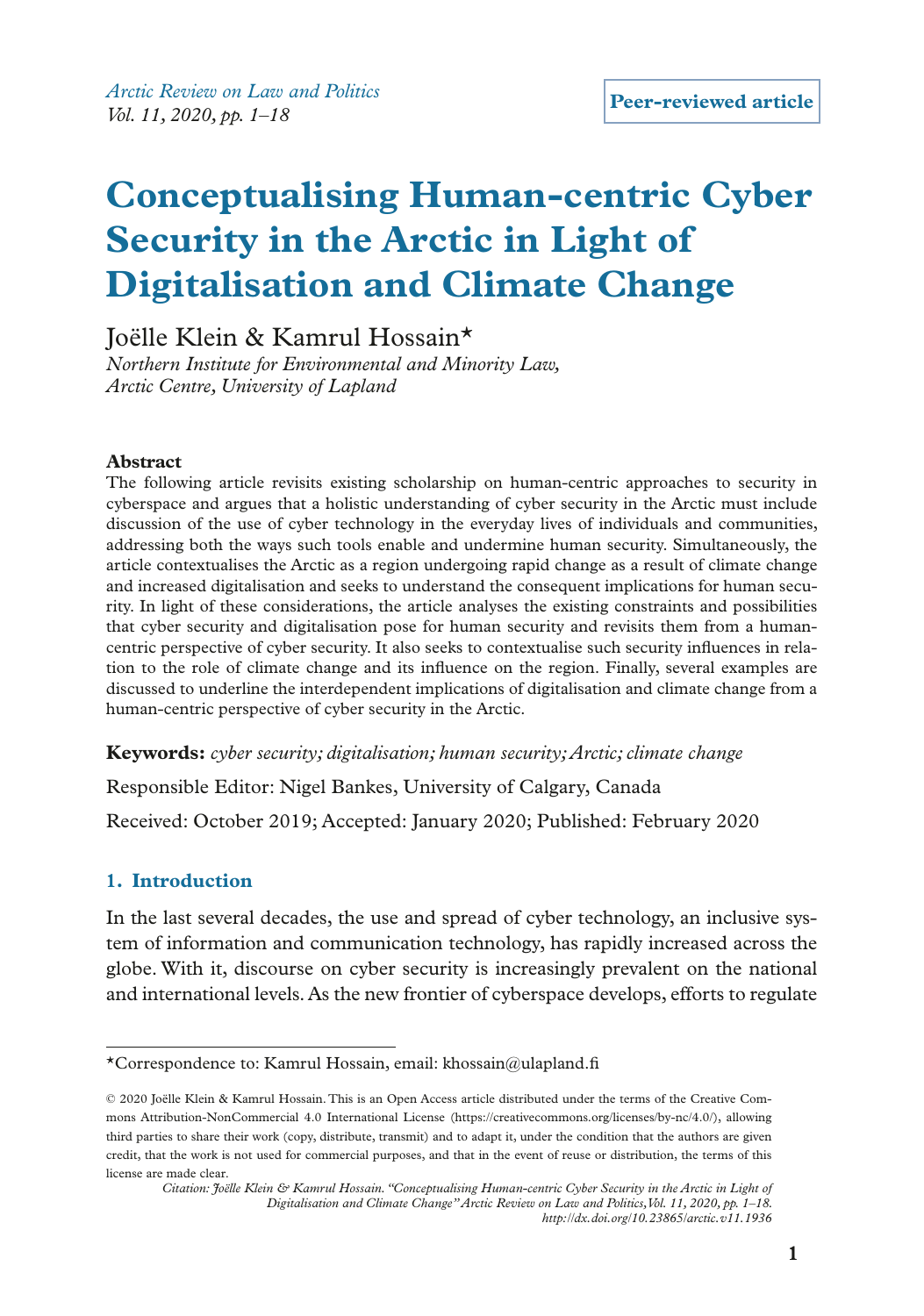*Arctic Review on Law and Politics Vol. 11, 2020, pp. 1–18*

# **Conceptualising Human-centric Cyber Security in the Arctic in Light of Digitalisation and Climate Change**

Joëlle Klein & Kamrul Hossain\*

*Northern Institute for Environmental and Minority Law, Arctic Centre, University of Lapland*

#### **Abstract**

The following article revisits existing scholarship on human-centric approaches to security in cyberspace and argues that a holistic understanding of cyber security in the Arctic must include discussion of the use of cyber technology in the everyday lives of individuals and communities, addressing both the ways such tools enable and undermine human security. Simultaneously, the article contextualises the Arctic as a region undergoing rapid change as a result of climate change and increased digitalisation and seeks to understand the consequent implications for human security. In light of these considerations, the article analyses the existing constraints and possibilities that cyber security and digitalisation pose for human security and revisits them from a humancentric perspective of cyber security. It also seeks to contextualise such security infuences in relation to the role of climate change and its infuence on the region. Finally, several examples are discussed to underline the interdependent implications of digitalisation and climate change from a human-centric perspective of cyber security in the Arctic.

**Keywords:** *cyber security; digitalisation; human security; Arctic; climate change*

Responsible Editor: Nigel Bankes, University of Calgary, Canada Received: October 2019; Accepted: January 2020; Published: February 2020

### **1. Introduction**

In the last several decades, the use and spread of cyber technology, an inclusive system of information and communication technology, has rapidly increased across the globe. With it, discourse on cyber security is increasingly prevalent on the national and international levels. As the new frontier of cyberspace develops, efforts to regulate

<sup>\*</sup>Correspondence to: Kamrul Hossain, email: khossain@ulapland.f

<sup>© 2020</sup> Joëlle Klein & Kamrul Hossain. This is an Open Access article distributed under the terms of the Creative Commons Attribution-NonCommercial 4.0 International License (https://creativecommons.org/licenses/by-nc/4.0/), allowing third parties to share their work (copy, distribute, transmit) and to adapt it, under the condition that the authors are given credit, that the work is not used for commercial purposes, and that in the event of reuse or distribution, the terms of this license are made clear.

*Citation: Joëlle Klein & Kamrul Hossain. "Conceptualising Human-centric Cyber Security in the Arctic in Light of Digitalisation and Climate Change'' Arctic Review on Law and Politics, Vol. 11, 2020, pp. 1–18. http://dx.doi.org/10.23865/arctic.v11.1936*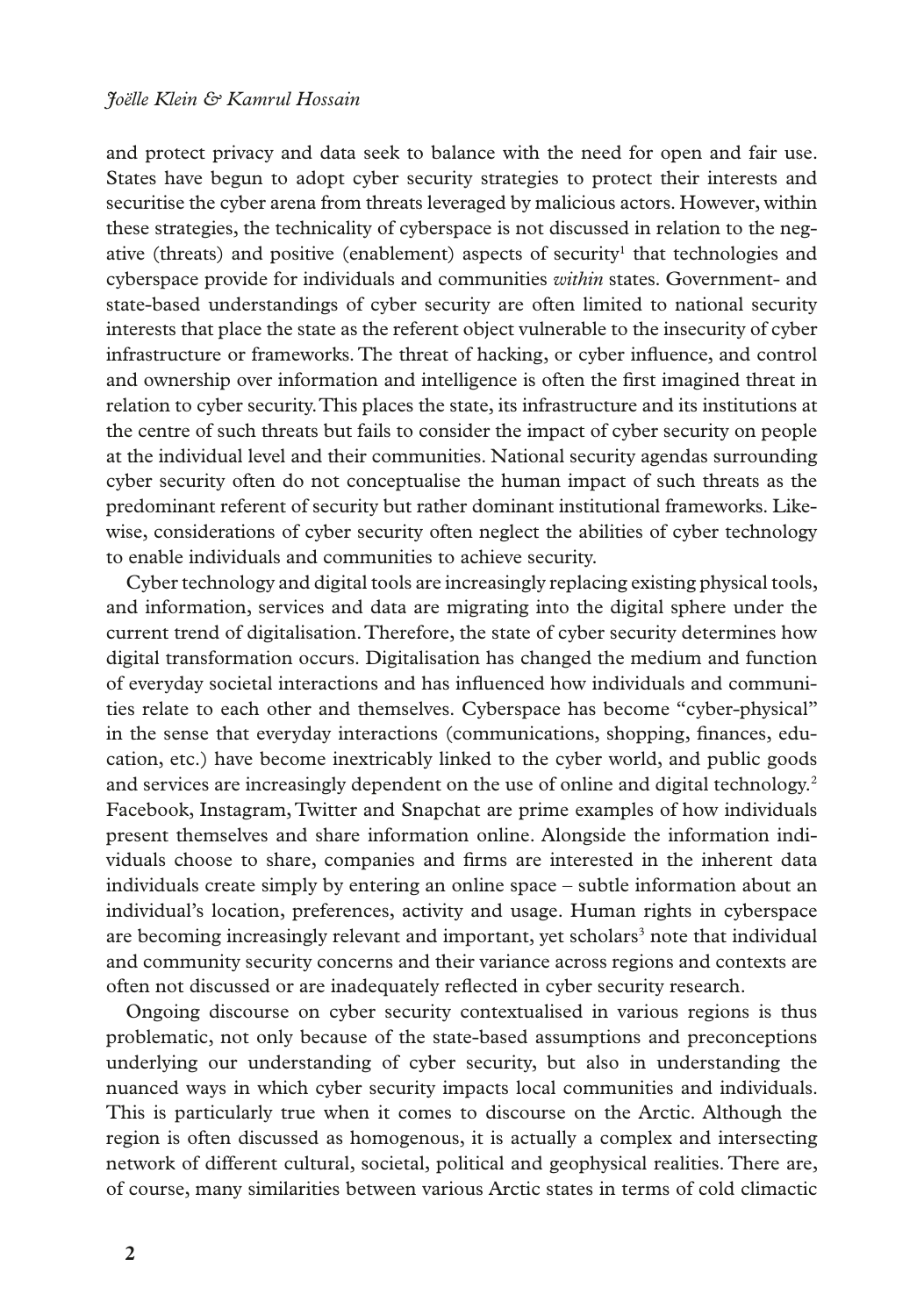and protect privacy and data seek to balance with the need for open and fair use. States have begun to adopt cyber security strategies to protect their interests and securitise the cyber arena from threats leveraged by malicious actors. However, within these strategies, the technicality of cyberspace is not discussed in relation to the negative (threats) and positive (enablement) aspects of security<sup>1</sup> that technologies and cyberspace provide for individuals and communities *within* states. Government- and state-based understandings of cyber security are often limited to national security interests that place the state as the referent object vulnerable to the insecurity of cyber infrastructure or frameworks. The threat of hacking, or cyber infuence, and control and ownership over information and intelligence is often the frst imagined threat in relation to cyber security. This places the state, its infrastructure and its institutions at the centre of such threats but fails to consider the impact of cyber security on people at the individual level and their communities. National security agendas surrounding cyber security often do not conceptualise the human impact of such threats as the predominant referent of security but rather dominant institutional frameworks. Likewise, considerations of cyber security often neglect the abilities of cyber technology to enable individuals and communities to achieve security.

Cyber technology and digital tools are increasingly replacing existing physical tools, and information, services and data are migrating into the digital sphere under the current trend of digitalisation. Therefore, the state of cyber security determines how digital transformation occurs. Digitalisation has changed the medium and function of everyday societal interactions and has infuenced how individuals and communities relate to each other and themselves. Cyberspace has become "cyber-physical" in the sense that everyday interactions (communications, shopping, fnances, education, etc.) have become inextricably linked to the cyber world, and public goods and services are increasingly dependent on the use of online and digital technology.<sup>2</sup> Facebook, Instagram, Twitter and Snapchat are prime examples of how individuals present themselves and share information online. Alongside the information individuals choose to share, companies and frms are interested in the inherent data individuals create simply by entering an online space – subtle information about an individual's location, preferences, activity and usage. Human rights in cyberspace are becoming increasingly relevant and important, yet scholars<sup>3</sup> note that individual and community security concerns and their variance across regions and contexts are often not discussed or are inadequately refected in cyber security research.

Ongoing discourse on cyber security contextualised in various regions is thus problematic, not only because of the state-based assumptions and preconceptions underlying our understanding of cyber security, but also in understanding the nuanced ways in which cyber security impacts local communities and individuals. This is particularly true when it comes to discourse on the Arctic. Although the region is often discussed as homogenous, it is actually a complex and intersecting network of different cultural, societal, political and geophysical realities. There are, of course, many similarities between various Arctic states in terms of cold climactic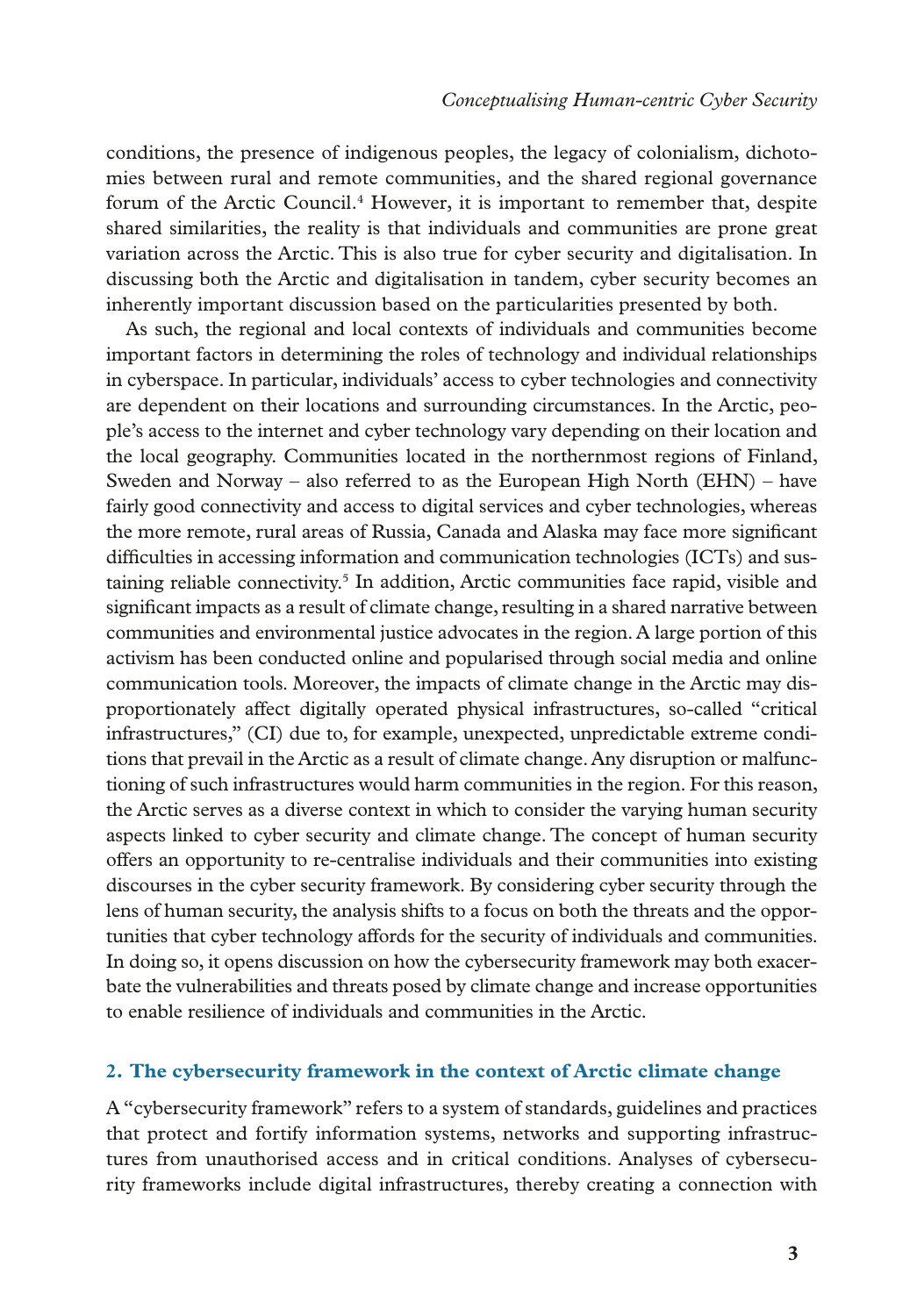conditions, the presence of indigenous peoples, the legacy of colonialism, dichotomies between rural and remote communities, and the shared regional governance forum of the Arctic Council.<sup>4</sup> However, it is important to remember that, despite shared similarities, the reality is that individuals and communities are prone great variation across the Arctic. This is also true for cyber security and digitalisation. In discussing both the Arctic and digitalisation in tandem, cyber security becomes an inherently important discussion based on the particularities presented by both.

As such, the regional and local contexts of individuals and communities become important factors in determining the roles of technology and individual relationships in cyberspace. In particular, individuals' access to cyber technologies and connectivity are dependent on their locations and surrounding circumstances. In the Arctic, people's access to the internet and cyber technology vary depending on their location and the local geography. Communities located in the northernmost regions of Finland, Sweden and Norway – also referred to as the European High North (EHN) – have fairly good connectivity and access to digital services and cyber technologies, whereas the more remote, rural areas of Russia, Canada and Alaska may face more signifcant diffculties in accessing information and communication technologies (ICTs) and sustaining reliable connectivity.<sup>5</sup> In addition, Arctic communities face rapid, visible and signifcant impacts as a result of climate change, resulting in a shared narrative between communities and environmental justice advocates in the region. A large portion of this activism has been conducted online and popularised through social media and online communication tools. Moreover, the impacts of climate change in the Arctic may disproportionately affect digitally operated physical infrastructures, so-called "critical infrastructures," (CI) due to, for example, unexpected, unpredictable extreme conditions that prevail in the Arctic as a result of climate change. Any disruption or malfunctioning of such infrastructures would harm communities in the region. For this reason, the Arctic serves as a diverse context in which to consider the varying human security aspects linked to cyber security and climate change. The concept of human security offers an opportunity to re-centralise individuals and their communities into existing discourses in the cyber security framework. By considering cyber security through the lens of human security, the analysis shifts to a focus on both the threats and the opportunities that cyber technology affords for the security of individuals and communities. In doing so, it opens discussion on how the cybersecurity framework may both exacerbate the vulnerabilities and threats posed by climate change and increase opportunities to enable resilience of individuals and communities in the Arctic.

#### **2. The cybersecurity framework in the context of Arctic climate change**

A "cybersecurity framework" refers to a system of standards, guidelines and practices that protect and fortify information systems, networks and supporting infrastructures from unauthorised access and in critical conditions. Analyses of cybersecurity frameworks include digital infrastructures, thereby creating a connection with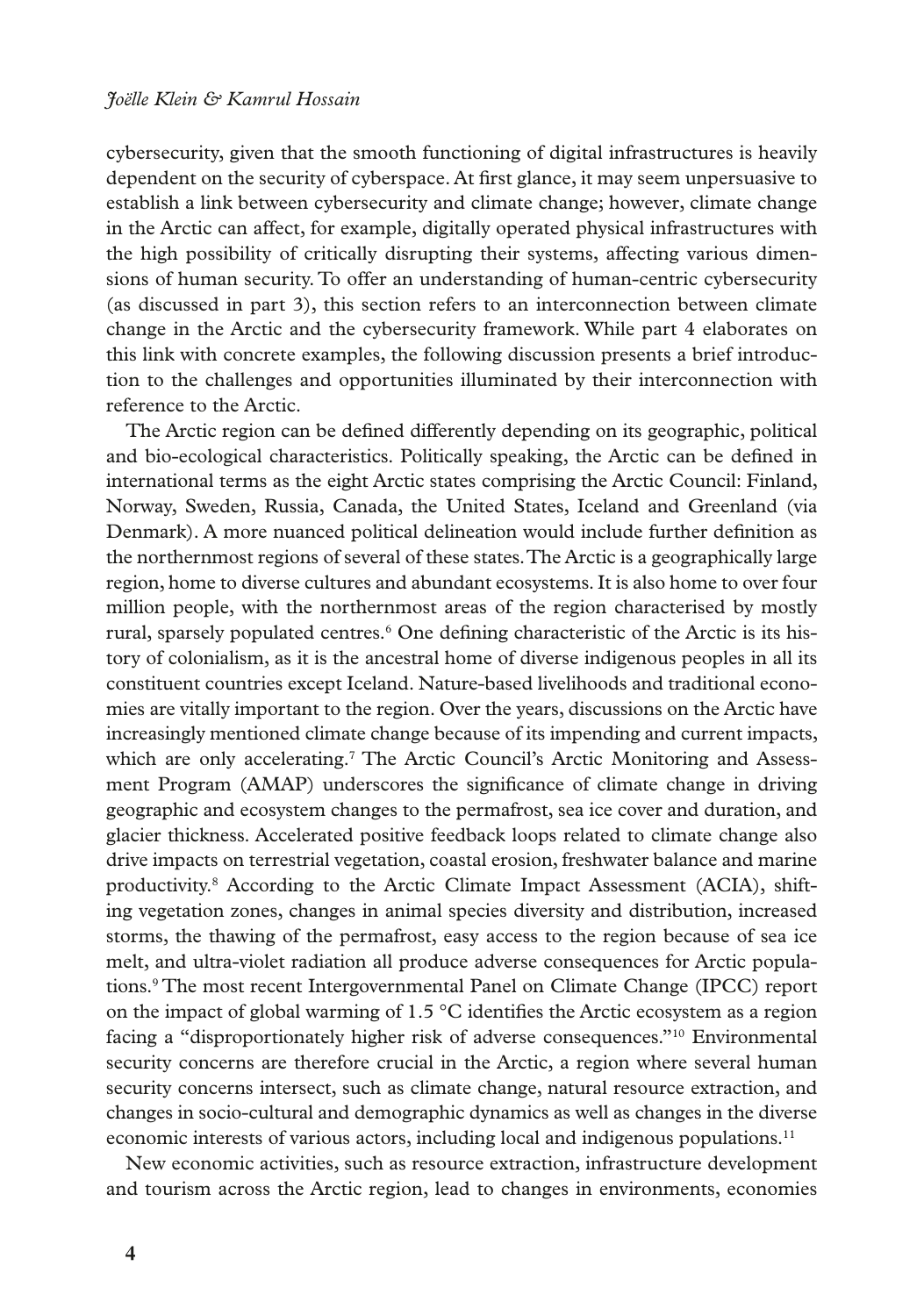cybersecurity, given that the smooth functioning of digital infrastructures is heavily dependent on the security of cyberspace. At frst glance, it may seem unpersuasive to establish a link between cybersecurity and climate change; however, climate change in the Arctic can affect, for example, digitally operated physical infrastructures with the high possibility of critically disrupting their systems, affecting various dimensions of human security. To offer an understanding of human-centric cybersecurity (as discussed in part 3), this section refers to an interconnection between climate change in the Arctic and the cybersecurity framework. While part 4 elaborates on this link with concrete examples, the following discussion presents a brief introduction to the challenges and opportunities illuminated by their interconnection with reference to the Arctic.

The Arctic region can be defned differently depending on its geographic, political and bio-ecological characteristics. Politically speaking, the Arctic can be defned in international terms as the eight Arctic states comprising the Arctic Council: Finland, Norway, Sweden, Russia, Canada, the United States, Iceland and Greenland (via Denmark). A more nuanced political delineation would include further defnition as the northernmost regions of several of these states. The Arctic is a geographically large region, home to diverse cultures and abundant ecosystems. It is also home to over four million people, with the northernmost areas of the region characterised by mostly rural, sparsely populated centres.<sup>6</sup> One defining characteristic of the Arctic is its history of colonialism, as it is the ancestral home of diverse indigenous peoples in all its constituent countries except Iceland. Nature-based livelihoods and traditional economies are vitally important to the region. Over the years, discussions on the Arctic have increasingly mentioned climate change because of its impending and current impacts, which are only accelerating.<sup>7</sup> The Arctic Council's Arctic Monitoring and Assessment Program (AMAP) underscores the signifcance of climate change in driving geographic and ecosystem changes to the permafrost, sea ice cover and duration, and glacier thickness. Accelerated positive feedback loops related to climate change also drive impacts on terrestrial vegetation, coastal erosion, freshwater balance and marine productivity.<sup>8</sup> According to the Arctic Climate Impact Assessment (ACIA), shifting vegetation zones, changes in animal species diversity and distribution, increased storms, the thawing of the permafrost, easy access to the region because of sea ice melt, and ultra-violet radiation all produce adverse consequences for Arctic populations.9 The most recent Intergovernmental Panel on Climate Change (IPCC) report on the impact of global warming of 1.5 °C identifes the Arctic ecosystem as a region facing a "disproportionately higher risk of adverse consequences."10 Environmental security concerns are therefore crucial in the Arctic, a region where several human security concerns intersect, such as climate change, natural resource extraction, and changes in socio-cultural and demographic dynamics as well as changes in the diverse economic interests of various actors, including local and indigenous populations.<sup>11</sup>

New economic activities, such as resource extraction, infrastructure development and tourism across the Arctic region, lead to changes in environments, economies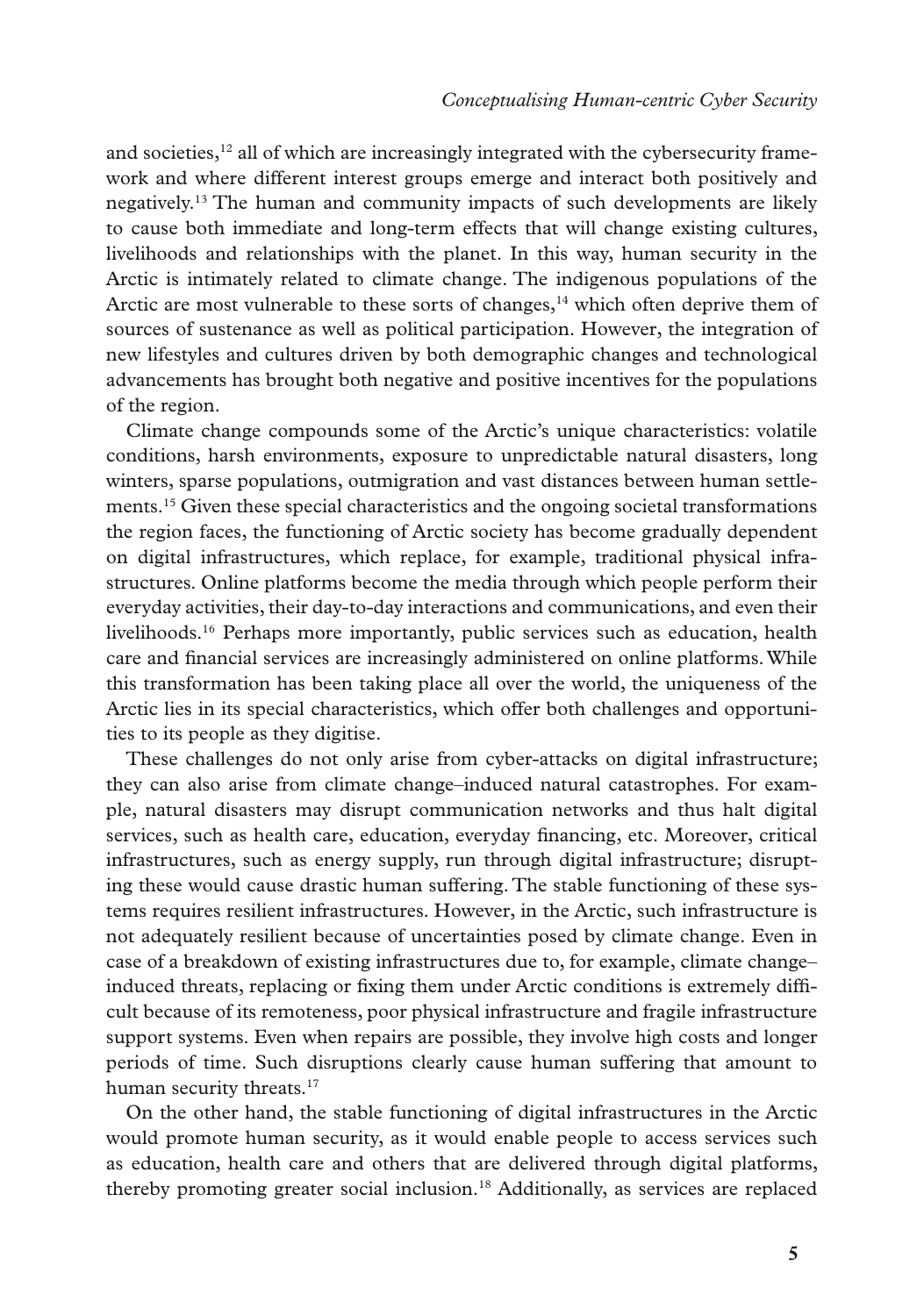and societies, $12$  all of which are increasingly integrated with the cybersecurity framework and where different interest groups emerge and interact both positively and negatively.13 The human and community impacts of such developments are likely to cause both immediate and long-term effects that will change existing cultures, livelihoods and relationships with the planet. In this way, human security in the Arctic is intimately related to climate change. The indigenous populations of the Arctic are most vulnerable to these sorts of changes, $<sup>14</sup>$  which often deprive them of</sup> sources of sustenance as well as political participation. However, the integration of new lifestyles and cultures driven by both demographic changes and technological advancements has brought both negative and positive incentives for the populations of the region.

Climate change compounds some of the Arctic's unique characteristics: volatile conditions, harsh environments, exposure to unpredictable natural disasters, long winters, sparse populations, outmigration and vast distances between human settlements.15 Given these special characteristics and the ongoing societal transformations the region faces, the functioning of Arctic society has become gradually dependent on digital infrastructures, which replace, for example, traditional physical infrastructures. Online platforms become the media through which people perform their everyday activities, their day-to-day interactions and communications, and even their livelihoods.16 Perhaps more importantly, public services such as education, health care and fnancial services are increasingly administered on online platforms. While this transformation has been taking place all over the world, the uniqueness of the Arctic lies in its special characteristics, which offer both challenges and opportunities to its people as they digitise.

These challenges do not only arise from cyber-attacks on digital infrastructure; they can also arise from climate change–induced natural catastrophes. For example, natural disasters may disrupt communication networks and thus halt digital services, such as health care, education, everyday fnancing, etc. Moreover, critical infrastructures, such as energy supply, run through digital infrastructure; disrupting these would cause drastic human suffering. The stable functioning of these systems requires resilient infrastructures. However, in the Arctic, such infrastructure is not adequately resilient because of uncertainties posed by climate change. Even in case of a breakdown of existing infrastructures due to, for example, climate change– induced threats, replacing or fxing them under Arctic conditions is extremely diffcult because of its remoteness, poor physical infrastructure and fragile infrastructure support systems. Even when repairs are possible, they involve high costs and longer periods of time. Such disruptions clearly cause human suffering that amount to human security threats.<sup>17</sup>

On the other hand, the stable functioning of digital infrastructures in the Arctic would promote human security, as it would enable people to access services such as education, health care and others that are delivered through digital platforms, thereby promoting greater social inclusion.18 Additionally, as services are replaced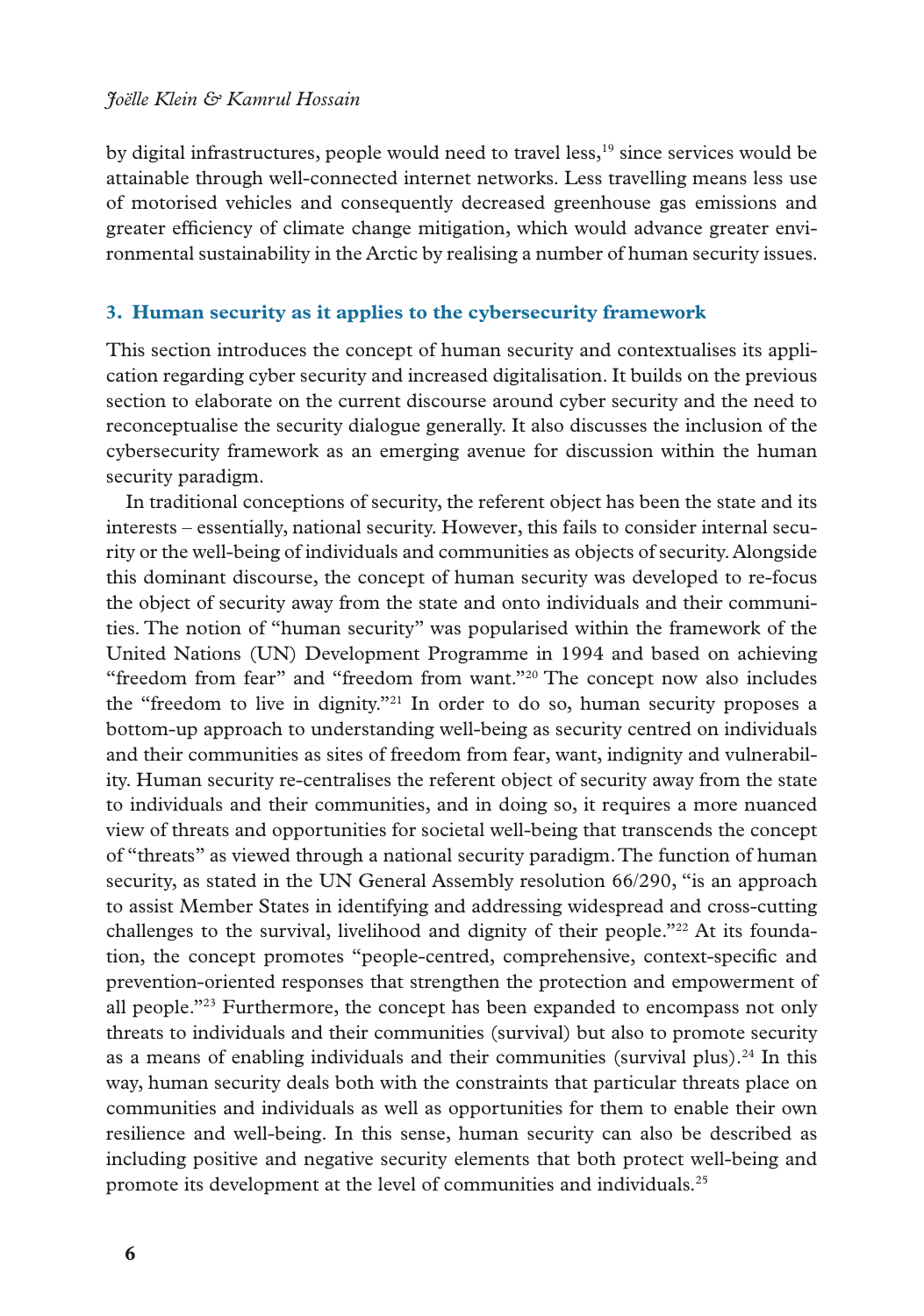#### *Joëlle Klein & Kamrul Hossain*

by digital infrastructures, people would need to travel less,<sup>19</sup> since services would be attainable through well-connected internet networks. Less travelling means less use of motorised vehicles and consequently decreased greenhouse gas emissions and greater effciency of climate change mitigation, which would advance greater environmental sustainability in the Arctic by realising a number of human security issues.

#### **3. Human security as it applies to the cybersecurity framework**

This section introduces the concept of human security and contextualises its application regarding cyber security and increased digitalisation. It builds on the previous section to elaborate on the current discourse around cyber security and the need to reconceptualise the security dialogue generally. It also discusses the inclusion of the cybersecurity framework as an emerging avenue for discussion within the human security paradigm.

In traditional conceptions of security, the referent object has been the state and its interests – essentially, national security. However, this fails to consider internal security or the well-being of individuals and communities as objects of security. Alongside this dominant discourse, the concept of human security was developed to re-focus the object of security away from the state and onto individuals and their communities. The notion of "human security" was popularised within the framework of the United Nations (UN) Development Programme in 1994 and based on achieving "freedom from fear" and "freedom from want."20 The concept now also includes the "freedom to live in dignity."21 In order to do so, human security proposes a bottom-up approach to understanding well-being as security centred on individuals and their communities as sites of freedom from fear, want, indignity and vulnerability. Human security re-centralises the referent object of security away from the state to individuals and their communities, and in doing so, it requires a more nuanced view of threats and opportunities for societal well-being that transcends the concept of "threats" as viewed through a national security paradigm. The function of human security, as stated in the UN General Assembly resolution 66/290, "is an approach to assist Member States in identifying and addressing widespread and cross-cutting challenges to the survival, livelihood and dignity of their people."<sup>22</sup> At its foundation, the concept promotes "people-centred, comprehensive, context-specifc and prevention-oriented responses that strengthen the protection and empowerment of all people."23 Furthermore, the concept has been expanded to encompass not only threats to individuals and their communities (survival) but also to promote security as a means of enabling individuals and their communities (survival plus).24 In this way, human security deals both with the constraints that particular threats place on communities and individuals as well as opportunities for them to enable their own resilience and well-being. In this sense, human security can also be described as including positive and negative security elements that both protect well-being and promote its development at the level of communities and individuals.25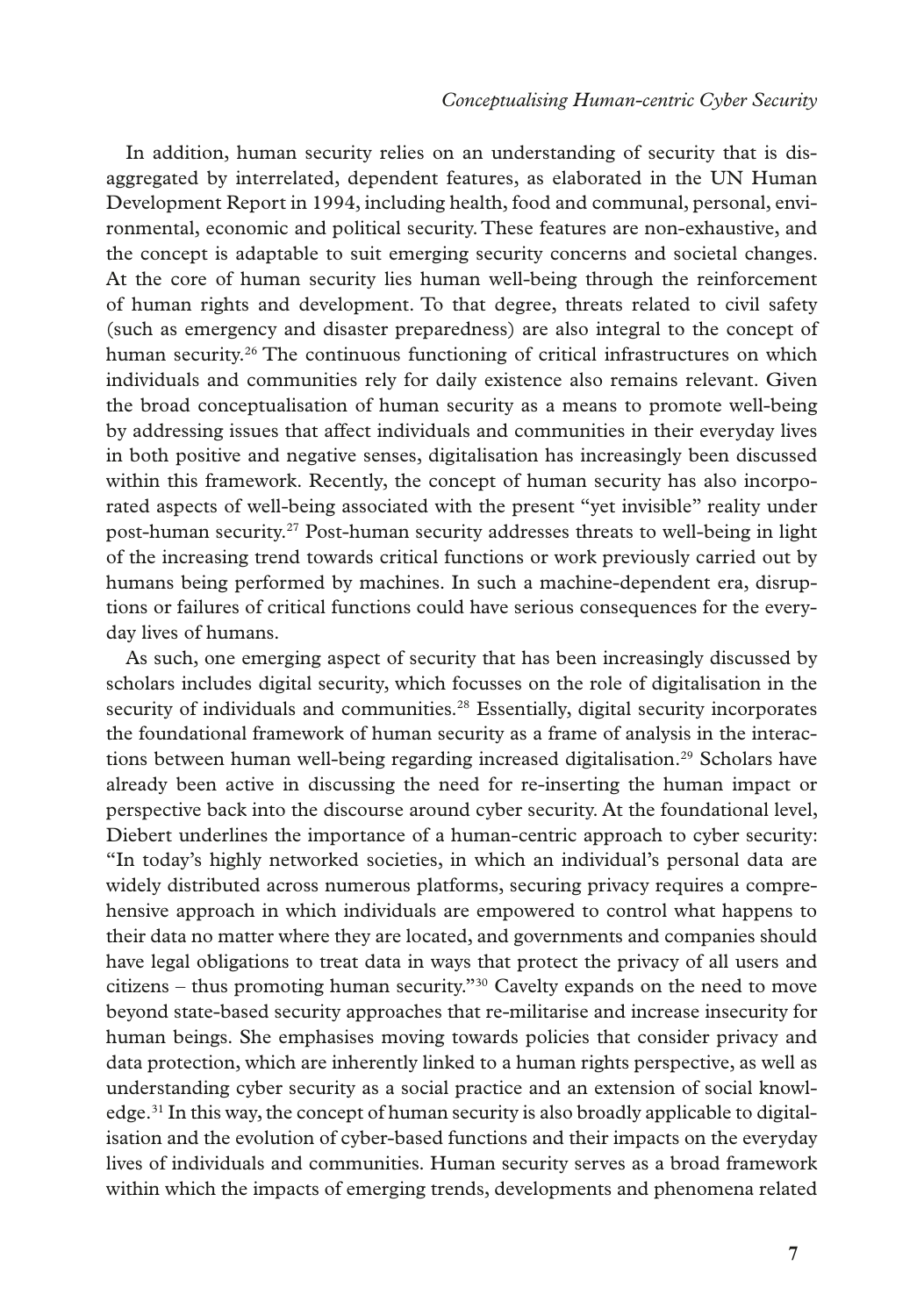In addition, human security relies on an understanding of security that is disaggregated by interrelated, dependent features, as elaborated in the UN Human Development Report in 1994, including health, food and communal, personal, environmental, economic and political security. These features are non-exhaustive, and the concept is adaptable to suit emerging security concerns and societal changes. At the core of human security lies human well-being through the reinforcement of human rights and development. To that degree, threats related to civil safety (such as emergency and disaster preparedness) are also integral to the concept of human security.26 The continuous functioning of critical infrastructures on which individuals and communities rely for daily existence also remains relevant. Given the broad conceptualisation of human security as a means to promote well-being by addressing issues that affect individuals and communities in their everyday lives in both positive and negative senses, digitalisation has increasingly been discussed within this framework. Recently, the concept of human security has also incorporated aspects of well-being associated with the present "yet invisible" reality under post-human security.27 Post-human security addresses threats to well-being in light of the increasing trend towards critical functions or work previously carried out by humans being performed by machines. In such a machine-dependent era, disruptions or failures of critical functions could have serious consequences for the everyday lives of humans.

As such, one emerging aspect of security that has been increasingly discussed by scholars includes digital security, which focusses on the role of digitalisation in the security of individuals and communities.<sup>28</sup> Essentially, digital security incorporates the foundational framework of human security as a frame of analysis in the interactions between human well-being regarding increased digitalisation.<sup>29</sup> Scholars have already been active in discussing the need for re-inserting the human impact or perspective back into the discourse around cyber security. At the foundational level, Diebert underlines the importance of a human-centric approach to cyber security: "In today's highly networked societies, in which an individual's personal data are widely distributed across numerous platforms, securing privacy requires a comprehensive approach in which individuals are empowered to control what happens to their data no matter where they are located, and governments and companies should have legal obligations to treat data in ways that protect the privacy of all users and citizens – thus promoting human security."30 Cavelty expands on the need to move beyond state-based security approaches that re-militarise and increase insecurity for human beings. She emphasises moving towards policies that consider privacy and data protection, which are inherently linked to a human rights perspective, as well as understanding cyber security as a social practice and an extension of social knowledge.<sup>31</sup> In this way, the concept of human security is also broadly applicable to digitalisation and the evolution of cyber-based functions and their impacts on the everyday lives of individuals and communities. Human security serves as a broad framework within which the impacts of emerging trends, developments and phenomena related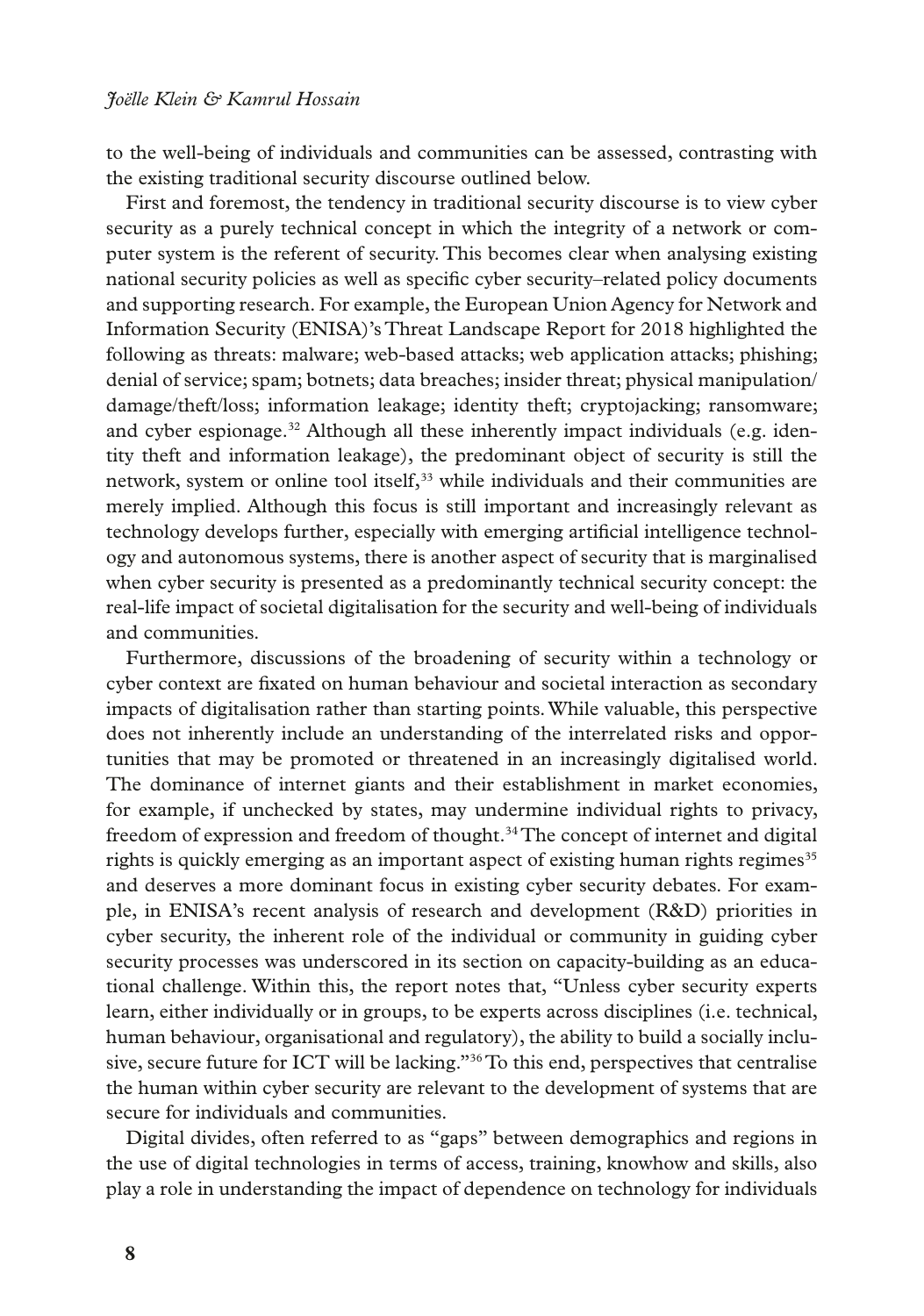to the well-being of individuals and communities can be assessed, contrasting with the existing traditional security discourse outlined below.

First and foremost, the tendency in traditional security discourse is to view cyber security as a purely technical concept in which the integrity of a network or computer system is the referent of security. This becomes clear when analysing existing national security policies as well as specifc cyber security–related policy documents and supporting research. For example, the European Union Agency for Network and Information Security (ENISA)'s Threat Landscape Report for 2018 highlighted the following as threats: malware; web-based attacks; web application attacks; phishing; denial of service; spam; botnets; data breaches; insider threat; physical manipulation/ damage/theft/loss; information leakage; identity theft; cryptojacking; ransomware; and cyber espionage.<sup>32</sup> Although all these inherently impact individuals (e.g. identity theft and information leakage), the predominant object of security is still the network, system or online tool itself,<sup>33</sup> while individuals and their communities are merely implied. Although this focus is still important and increasingly relevant as technology develops further, especially with emerging artifcial intelligence technology and autonomous systems, there is another aspect of security that is marginalised when cyber security is presented as a predominantly technical security concept: the real-life impact of societal digitalisation for the security and well-being of individuals and communities.

Furthermore, discussions of the broadening of security within a technology or cyber context are fxated on human behaviour and societal interaction as secondary impacts of digitalisation rather than starting points. While valuable, this perspective does not inherently include an understanding of the interrelated risks and opportunities that may be promoted or threatened in an increasingly digitalised world. The dominance of internet giants and their establishment in market economies, for example, if unchecked by states, may undermine individual rights to privacy, freedom of expression and freedom of thought.<sup>34</sup> The concept of internet and digital rights is quickly emerging as an important aspect of existing human rights regimes<sup>35</sup> and deserves a more dominant focus in existing cyber security debates. For example, in ENISA's recent analysis of research and development (R&D) priorities in cyber security, the inherent role of the individual or community in guiding cyber security processes was underscored in its section on capacity-building as an educational challenge. Within this, the report notes that, "Unless cyber security experts learn, either individually or in groups, to be experts across disciplines (i.e. technical, human behaviour, organisational and regulatory), the ability to build a socially inclusive, secure future for ICT will be lacking."36 To this end, perspectives that centralise the human within cyber security are relevant to the development of systems that are secure for individuals and communities.

Digital divides, often referred to as "gaps" between demographics and regions in the use of digital technologies in terms of access, training, knowhow and skills, also play a role in understanding the impact of dependence on technology for individuals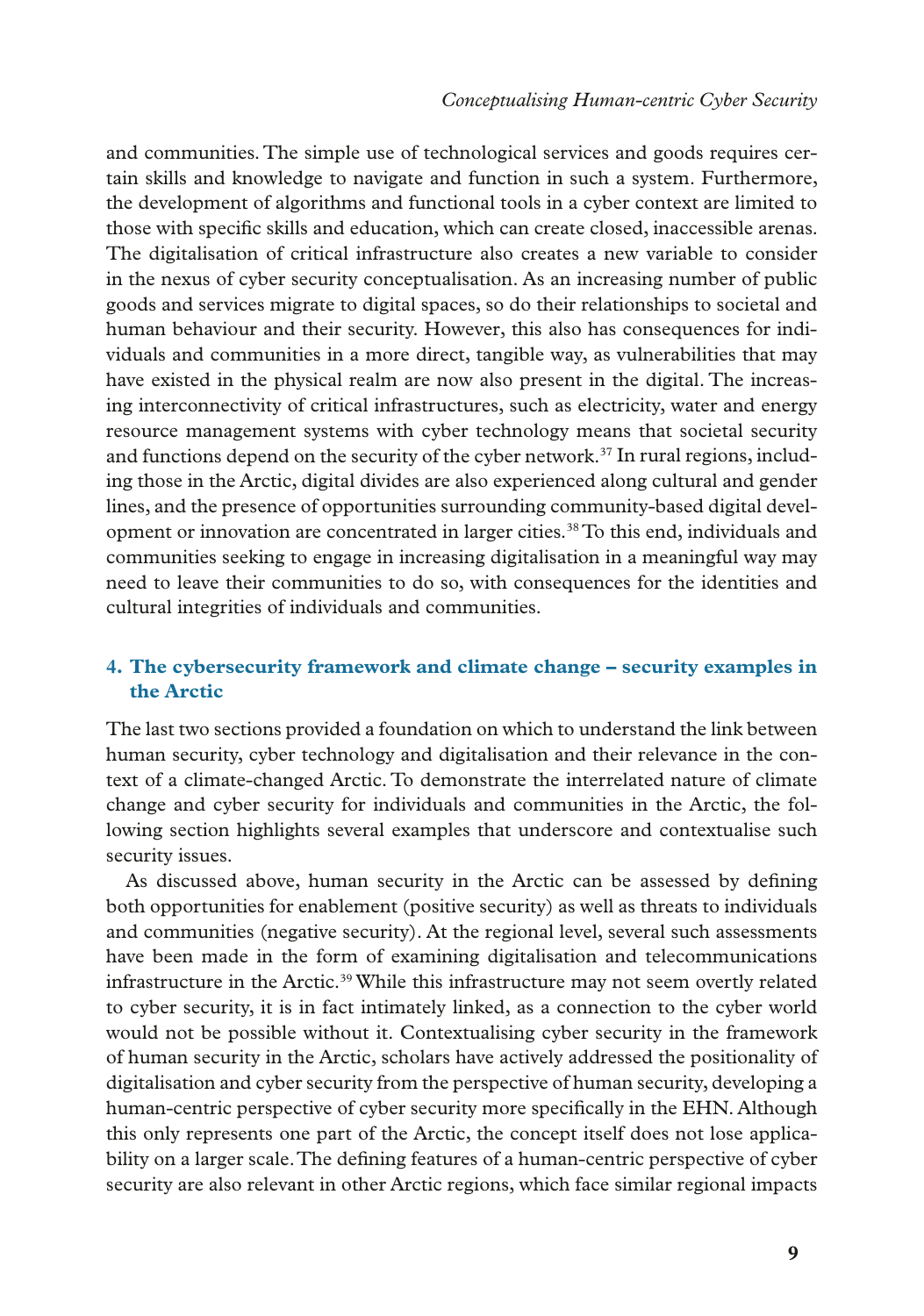and communities. The simple use of technological services and goods requires certain skills and knowledge to navigate and function in such a system. Furthermore, the development of algorithms and functional tools in a cyber context are limited to those with specifc skills and education, which can create closed, inaccessible arenas. The digitalisation of critical infrastructure also creates a new variable to consider in the nexus of cyber security conceptualisation. As an increasing number of public goods and services migrate to digital spaces, so do their relationships to societal and human behaviour and their security. However, this also has consequences for individuals and communities in a more direct, tangible way, as vulnerabilities that may have existed in the physical realm are now also present in the digital. The increasing interconnectivity of critical infrastructures, such as electricity, water and energy resource management systems with cyber technology means that societal security and functions depend on the security of the cyber network.<sup>37</sup> In rural regions, including those in the Arctic, digital divides are also experienced along cultural and gender lines, and the presence of opportunities surrounding community-based digital development or innovation are concentrated in larger cities.<sup>38</sup> To this end, individuals and communities seeking to engage in increasing digitalisation in a meaningful way may need to leave their communities to do so, with consequences for the identities and cultural integrities of individuals and communities.

## **4. The cybersecurity framework and climate change – security examples in the Arctic**

The last two sections provided a foundation on which to understand the link between human security, cyber technology and digitalisation and their relevance in the context of a climate-changed Arctic. To demonstrate the interrelated nature of climate change and cyber security for individuals and communities in the Arctic, the following section highlights several examples that underscore and contextualise such security issues.

As discussed above, human security in the Arctic can be assessed by defning both opportunities for enablement (positive security) as well as threats to individuals and communities (negative security). At the regional level, several such assessments have been made in the form of examining digitalisation and telecommunications infrastructure in the Arctic.39 While this infrastructure may not seem overtly related to cyber security, it is in fact intimately linked, as a connection to the cyber world would not be possible without it. Contextualising cyber security in the framework of human security in the Arctic, scholars have actively addressed the positionality of digitalisation and cyber security from the perspective of human security, developing a human-centric perspective of cyber security more specifcally in the EHN. Although this only represents one part of the Arctic, the concept itself does not lose applicability on a larger scale. The defning features of a human-centric perspective of cyber security are also relevant in other Arctic regions, which face similar regional impacts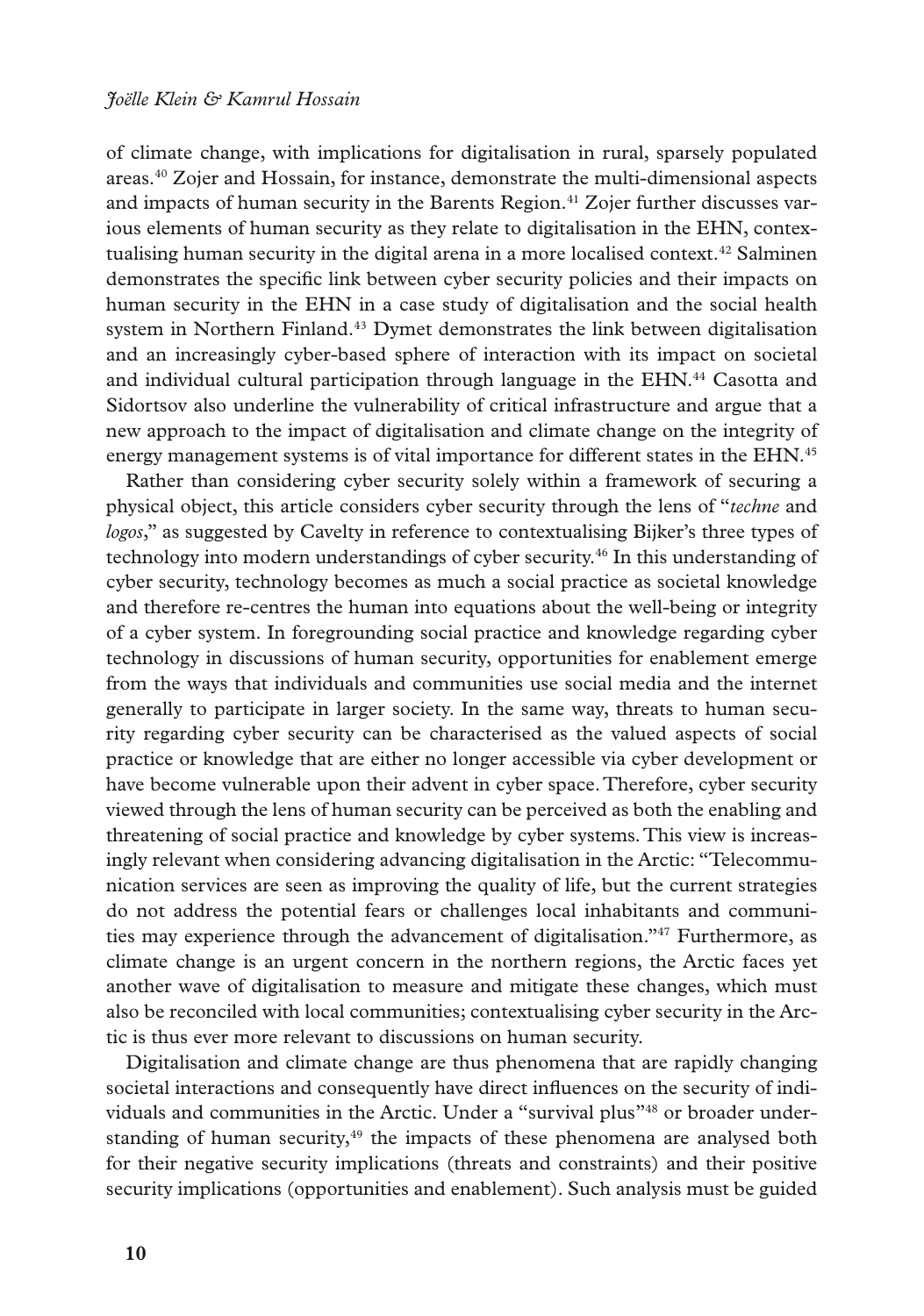of climate change, with implications for digitalisation in rural, sparsely populated areas.40 Zojer and Hossain, for instance, demonstrate the multi-dimensional aspects and impacts of human security in the Barents Region.<sup>41</sup> Zojer further discusses various elements of human security as they relate to digitalisation in the EHN, contextualising human security in the digital arena in a more localised context.<sup>42</sup> Salminen demonstrates the specifc link between cyber security policies and their impacts on human security in the EHN in a case study of digitalisation and the social health system in Northern Finland.<sup>43</sup> Dymet demonstrates the link between digitalisation and an increasingly cyber-based sphere of interaction with its impact on societal and individual cultural participation through language in the EHN.<sup>44</sup> Casotta and Sidortsov also underline the vulnerability of critical infrastructure and argue that a new approach to the impact of digitalisation and climate change on the integrity of energy management systems is of vital importance for different states in the EHN.<sup>45</sup>

Rather than considering cyber security solely within a framework of securing a physical object, this article considers cyber security through the lens of "*techne* and *logos*," as suggested by Cavelty in reference to contextualising Bijker's three types of technology into modern understandings of cyber security.46 In this understanding of cyber security, technology becomes as much a social practice as societal knowledge and therefore re-centres the human into equations about the well-being or integrity of a cyber system. In foregrounding social practice and knowledge regarding cyber technology in discussions of human security, opportunities for enablement emerge from the ways that individuals and communities use social media and the internet generally to participate in larger society. In the same way, threats to human security regarding cyber security can be characterised as the valued aspects of social practice or knowledge that are either no longer accessible via cyber development or have become vulnerable upon their advent in cyber space. Therefore, cyber security viewed through the lens of human security can be perceived as both the enabling and threatening of social practice and knowledge by cyber systems. This view is increasingly relevant when considering advancing digitalisation in the Arctic: "Telecommunication services are seen as improving the quality of life, but the current strategies do not address the potential fears or challenges local inhabitants and communities may experience through the advancement of digitalisation."47 Furthermore, as climate change is an urgent concern in the northern regions, the Arctic faces yet another wave of digitalisation to measure and mitigate these changes, which must also be reconciled with local communities; contextualising cyber security in the Arctic is thus ever more relevant to discussions on human security.

Digitalisation and climate change are thus phenomena that are rapidly changing societal interactions and consequently have direct infuences on the security of individuals and communities in the Arctic. Under a "survival plus"48 or broader understanding of human security, $49$  the impacts of these phenomena are analysed both for their negative security implications (threats and constraints) and their positive security implications (opportunities and enablement). Such analysis must be guided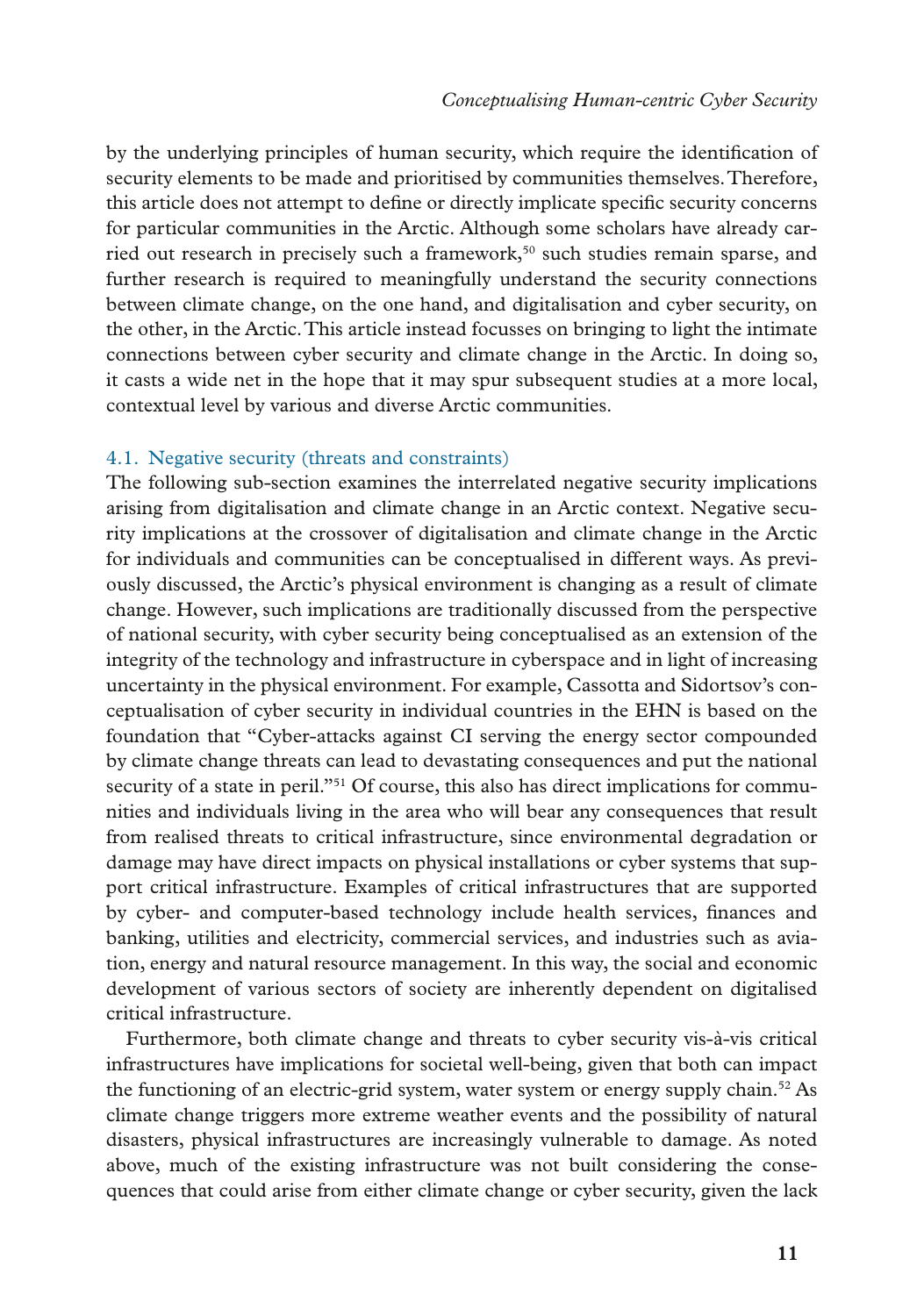by the underlying principles of human security, which require the identifcation of security elements to be made and prioritised by communities themselves. Therefore, this article does not attempt to defne or directly implicate specifc security concerns for particular communities in the Arctic. Although some scholars have already carried out research in precisely such a framework,<sup>50</sup> such studies remain sparse, and further research is required to meaningfully understand the security connections between climate change, on the one hand, and digitalisation and cyber security, on the other, in the Arctic. This article instead focusses on bringing to light the intimate connections between cyber security and climate change in the Arctic. In doing so, it casts a wide net in the hope that it may spur subsequent studies at a more local, contextual level by various and diverse Arctic communities.

### 4.1. Negative security (threats and constraints)

The following sub-section examines the interrelated negative security implications arising from digitalisation and climate change in an Arctic context. Negative security implications at the crossover of digitalisation and climate change in the Arctic for individuals and communities can be conceptualised in different ways. As previously discussed, the Arctic's physical environment is changing as a result of climate change. However, such implications are traditionally discussed from the perspective of national security, with cyber security being conceptualised as an extension of the integrity of the technology and infrastructure in cyberspace and in light of increasing uncertainty in the physical environment. For example, Cassotta and Sidortsov's conceptualisation of cyber security in individual countries in the EHN is based on the foundation that "Cyber-attacks against CI serving the energy sector compounded by climate change threats can lead to devastating consequences and put the national security of a state in peril."<sup>51</sup> Of course, this also has direct implications for communities and individuals living in the area who will bear any consequences that result from realised threats to critical infrastructure, since environmental degradation or damage may have direct impacts on physical installations or cyber systems that support critical infrastructure. Examples of critical infrastructures that are supported by cyber- and computer-based technology include health services, fnances and banking, utilities and electricity, commercial services, and industries such as aviation, energy and natural resource management. In this way, the social and economic development of various sectors of society are inherently dependent on digitalised critical infrastructure.

Furthermore, both climate change and threats to cyber security vis-à-vis critical infrastructures have implications for societal well-being, given that both can impact the functioning of an electric-grid system, water system or energy supply chain.<sup>52</sup> As climate change triggers more extreme weather events and the possibility of natural disasters, physical infrastructures are increasingly vulnerable to damage. As noted above, much of the existing infrastructure was not built considering the consequences that could arise from either climate change or cyber security, given the lack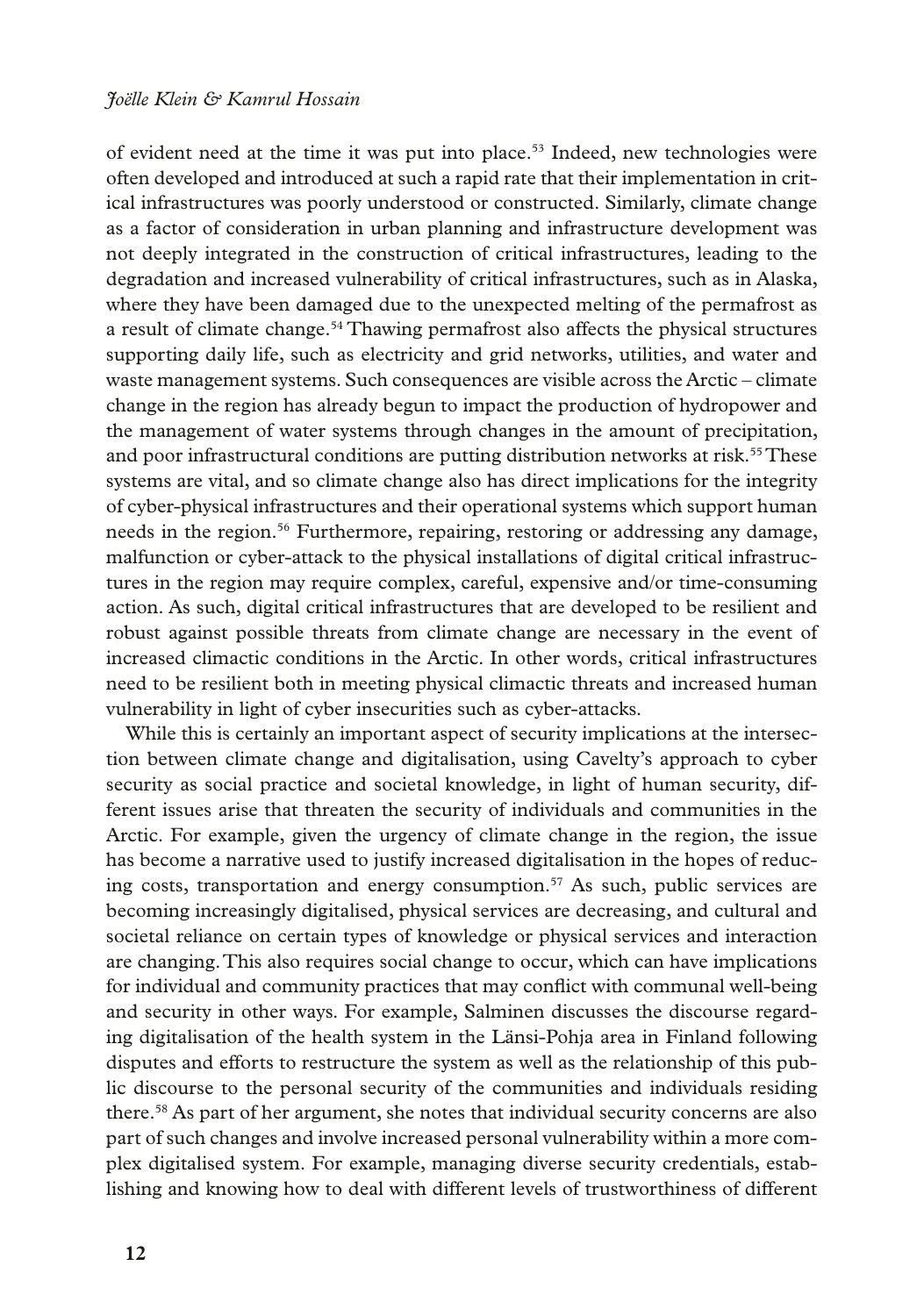#### *Joëlle Klein & Kamrul Hossain*

of evident need at the time it was put into place.<sup>53</sup> Indeed, new technologies were often developed and introduced at such a rapid rate that their implementation in critical infrastructures was poorly understood or constructed. Similarly, climate change as a factor of consideration in urban planning and infrastructure development was not deeply integrated in the construction of critical infrastructures, leading to the degradation and increased vulnerability of critical infrastructures, such as in Alaska, where they have been damaged due to the unexpected melting of the permafrost as a result of climate change.54 Thawing permafrost also affects the physical structures supporting daily life, such as electricity and grid networks, utilities, and water and waste management systems. Such consequences are visible across the Arctic – climate change in the region has already begun to impact the production of hydropower and the management of water systems through changes in the amount of precipitation, and poor infrastructural conditions are putting distribution networks at risk.<sup>55</sup> These systems are vital, and so climate change also has direct implications for the integrity of cyber-physical infrastructures and their operational systems which support human needs in the region.<sup>56</sup> Furthermore, repairing, restoring or addressing any damage, malfunction or cyber-attack to the physical installations of digital critical infrastructures in the region may require complex, careful, expensive and/or time-consuming action. As such, digital critical infrastructures that are developed to be resilient and robust against possible threats from climate change are necessary in the event of increased climactic conditions in the Arctic. In other words, critical infrastructures need to be resilient both in meeting physical climactic threats and increased human vulnerability in light of cyber insecurities such as cyber-attacks.

While this is certainly an important aspect of security implications at the intersection between climate change and digitalisation, using Cavelty's approach to cyber security as social practice and societal knowledge, in light of human security, different issues arise that threaten the security of individuals and communities in the Arctic. For example, given the urgency of climate change in the region, the issue has become a narrative used to justify increased digitalisation in the hopes of reducing costs, transportation and energy consumption.<sup>57</sup> As such, public services are becoming increasingly digitalised, physical services are decreasing, and cultural and societal reliance on certain types of knowledge or physical services and interaction are changing. This also requires social change to occur, which can have implications for individual and community practices that may confict with communal well-being and security in other ways. For example, Salminen discusses the discourse regarding digitalisation of the health system in the Länsi-Pohja area in Finland following disputes and efforts to restructure the system as well as the relationship of this public discourse to the personal security of the communities and individuals residing there.58 As part of her argument, she notes that individual security concerns are also part of such changes and involve increased personal vulnerability within a more complex digitalised system. For example, managing diverse security credentials, establishing and knowing how to deal with different levels of trustworthiness of different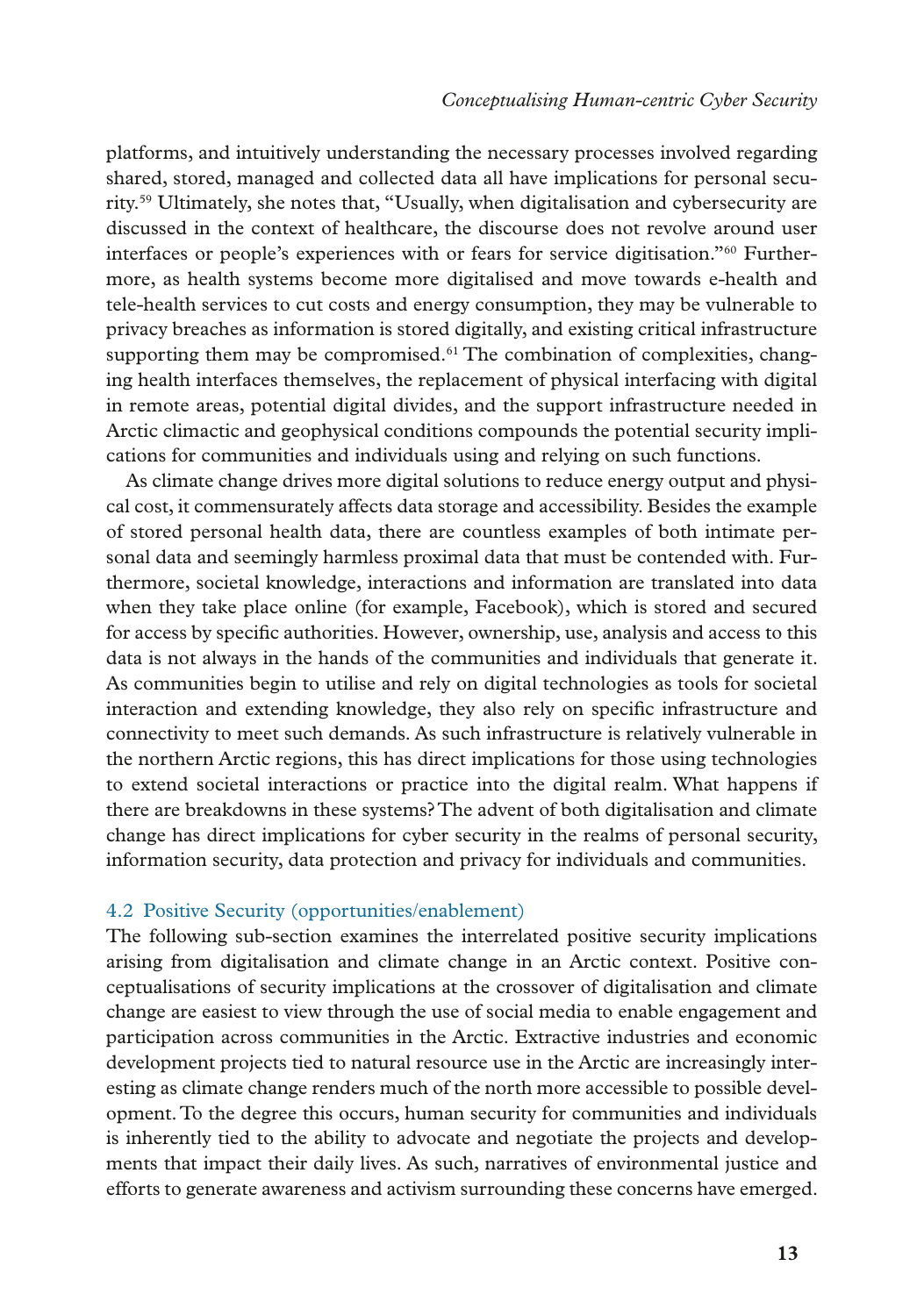platforms, and intuitively understanding the necessary processes involved regarding shared, stored, managed and collected data all have implications for personal security.59 Ultimately, she notes that, "Usually, when digitalisation and cybersecurity are discussed in the context of healthcare, the discourse does not revolve around user interfaces or people's experiences with or fears for service digitisation."60 Furthermore, as health systems become more digitalised and move towards e-health and tele-health services to cut costs and energy consumption, they may be vulnerable to privacy breaches as information is stored digitally, and existing critical infrastructure supporting them may be compromised.<sup> $61$ </sup> The combination of complexities, changing health interfaces themselves, the replacement of physical interfacing with digital in remote areas, potential digital divides, and the support infrastructure needed in Arctic climactic and geophysical conditions compounds the potential security implications for communities and individuals using and relying on such functions.

As climate change drives more digital solutions to reduce energy output and physical cost, it commensurately affects data storage and accessibility. Besides the example of stored personal health data, there are countless examples of both intimate personal data and seemingly harmless proximal data that must be contended with. Furthermore, societal knowledge, interactions and information are translated into data when they take place online (for example, Facebook), which is stored and secured for access by specifc authorities. However, ownership, use, analysis and access to this data is not always in the hands of the communities and individuals that generate it. As communities begin to utilise and rely on digital technologies as tools for societal interaction and extending knowledge, they also rely on specifc infrastructure and connectivity to meet such demands. As such infrastructure is relatively vulnerable in the northern Arctic regions, this has direct implications for those using technologies to extend societal interactions or practice into the digital realm. What happens if there are breakdowns in these systems? The advent of both digitalisation and climate change has direct implications for cyber security in the realms of personal security, information security, data protection and privacy for individuals and communities.

### 4.2 Positive Security (opportunities/enablement)

The following sub-section examines the interrelated positive security implications arising from digitalisation and climate change in an Arctic context. Positive conceptualisations of security implications at the crossover of digitalisation and climate change are easiest to view through the use of social media to enable engagement and participation across communities in the Arctic. Extractive industries and economic development projects tied to natural resource use in the Arctic are increasingly interesting as climate change renders much of the north more accessible to possible development. To the degree this occurs, human security for communities and individuals is inherently tied to the ability to advocate and negotiate the projects and developments that impact their daily lives. As such, narratives of environmental justice and efforts to generate awareness and activism surrounding these concerns have emerged.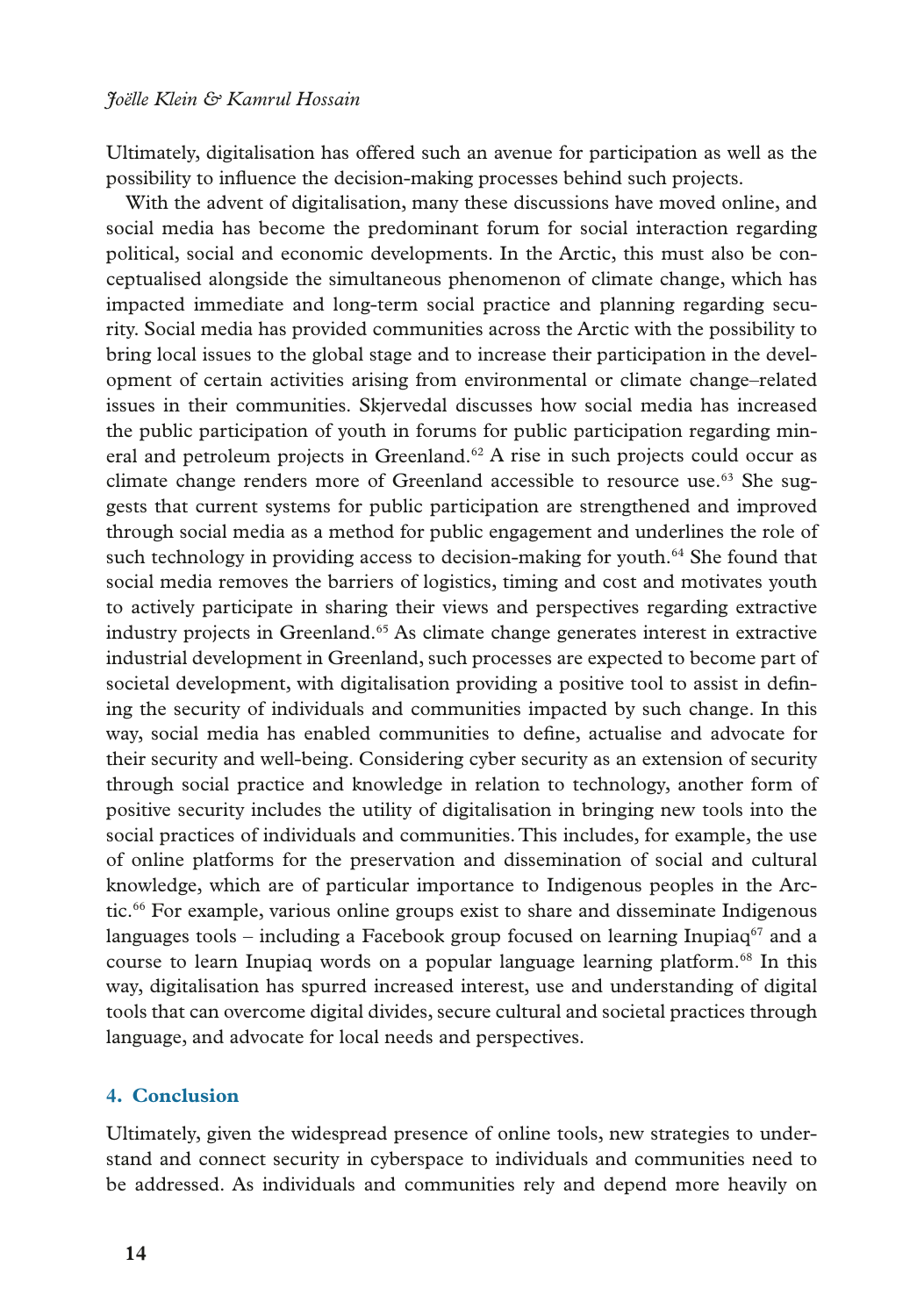Ultimately, digitalisation has offered such an avenue for participation as well as the possibility to infuence the decision-making processes behind such projects.

With the advent of digitalisation, many these discussions have moved online, and social media has become the predominant forum for social interaction regarding political, social and economic developments. In the Arctic, this must also be conceptualised alongside the simultaneous phenomenon of climate change, which has impacted immediate and long-term social practice and planning regarding security. Social media has provided communities across the Arctic with the possibility to bring local issues to the global stage and to increase their participation in the development of certain activities arising from environmental or climate change–related issues in their communities. Skjervedal discusses how social media has increased the public participation of youth in forums for public participation regarding mineral and petroleum projects in Greenland.<sup>62</sup> A rise in such projects could occur as climate change renders more of Greenland accessible to resource use.<sup>63</sup> She suggests that current systems for public participation are strengthened and improved through social media as a method for public engagement and underlines the role of such technology in providing access to decision-making for youth.<sup>64</sup> She found that social media removes the barriers of logistics, timing and cost and motivates youth to actively participate in sharing their views and perspectives regarding extractive industry projects in Greenland.<sup>65</sup> As climate change generates interest in extractive industrial development in Greenland, such processes are expected to become part of societal development, with digitalisation providing a positive tool to assist in defning the security of individuals and communities impacted by such change. In this way, social media has enabled communities to defne, actualise and advocate for their security and well-being. Considering cyber security as an extension of security through social practice and knowledge in relation to technology, another form of positive security includes the utility of digitalisation in bringing new tools into the social practices of individuals and communities. This includes, for example, the use of online platforms for the preservation and dissemination of social and cultural knowledge, which are of particular importance to Indigenous peoples in the Arctic.66 For example, various online groups exist to share and disseminate Indigenous languages tools – including a Facebook group focused on learning Inupiaq<sup>67</sup> and a course to learn Inupiaq words on a popular language learning platform.<sup>68</sup> In this way, digitalisation has spurred increased interest, use and understanding of digital tools that can overcome digital divides, secure cultural and societal practices through language, and advocate for local needs and perspectives.

### **4. Conclusion**

Ultimately, given the widespread presence of online tools, new strategies to understand and connect security in cyberspace to individuals and communities need to be addressed. As individuals and communities rely and depend more heavily on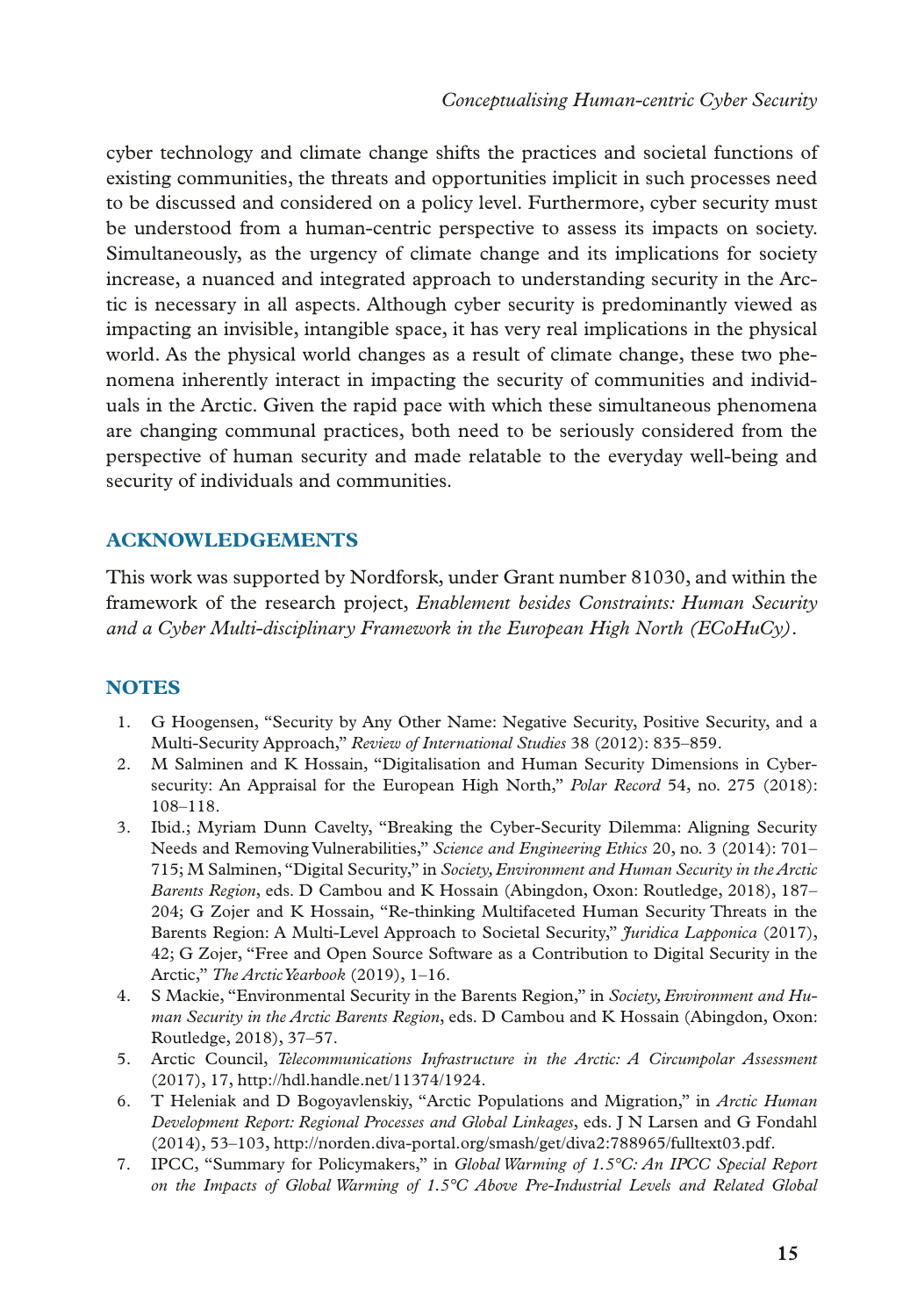cyber technology and climate change shifts the practices and societal functions of existing communities, the threats and opportunities implicit in such processes need to be discussed and considered on a policy level. Furthermore, cyber security must be understood from a human-centric perspective to assess its impacts on society. Simultaneously, as the urgency of climate change and its implications for society increase, a nuanced and integrated approach to understanding security in the Arctic is necessary in all aspects. Although cyber security is predominantly viewed as impacting an invisible, intangible space, it has very real implications in the physical world. As the physical world changes as a result of climate change, these two phenomena inherently interact in impacting the security of communities and individuals in the Arctic. Given the rapid pace with which these simultaneous phenomena are changing communal practices, both need to be seriously considered from the perspective of human security and made relatable to the everyday well-being and security of individuals and communities.

## **ACKNOWLEDGEMENTS**

This work was supported by Nordforsk, under Grant number 81030, and within the framework of the research project, *Enablement besides Constraints: Human Security and a Cyber Multi-disciplinary Framework in the European High North (ECoHuCy)*.

## **NOTES**

- 1. G Hoogensen, "Security by Any Other Name: Negative Security, Positive Security, and a Multi-Security Approach," *Review of International Studies* 38 (2012): 835–859.
- 2. M Salminen and K Hossain, "Digitalisation and Human Security Dimensions in Cybersecurity: An Appraisal for the European High North," *Polar Record* 54, no. 275 (2018): 108–118.
- 3. Ibid.; Myriam Dunn Cavelty, "Breaking the Cyber-Security Dilemma: Aligning Security Needs and Removing Vulnerabilities," *Science and Engineering Ethics* 20, no. 3 (2014): 701– 715; M Salminen, "Digital Security," in *Society, Environment and Human Security in the Arctic Barents Region*, eds. D Cambou and K Hossain (Abingdon, Oxon: Routledge, 2018), 187– 204; G Zojer and K Hossain, "Re-thinking Multifaceted Human Security Threats in the Barents Region: A Multi-Level Approach to Societal Security," *Juridica Lapponica* (2017), 42; G Zojer, "Free and Open Source Software as a Contribution to Digital Security in the Arctic," *The Arctic Yearbook* (2019), 1–16.
- 4. S Mackie, "Environmental Security in the Barents Region," in *Society, Environment and Human Security in the Arctic Barents Region*, eds. D Cambou and K Hossain (Abingdon, Oxon: Routledge, 2018), 37–57.
- 5. Arctic Council, *Telecommunications Infrastructure in the Arctic: A Circumpolar Assessment* (2017), 17, http://hdl.handle.net/11374/1924.
- 6. T Heleniak and D Bogoyavlenskiy, "Arctic Populations and Migration," in *Arctic Human Development Report: Regional Processes and Global Linkages*, eds. J N Larsen and G Fondahl (2014), 53–103, http://norden.diva-portal.org/smash/get/diva2:788965/fulltext03.pdf.
- 7. IPCC, "Summary for Policymakers," in *Global Warming of 1.5°C: An IPCC Special Report on the Impacts of Global Warming of 1.5°C Above Pre-Industrial Levels and Related Global*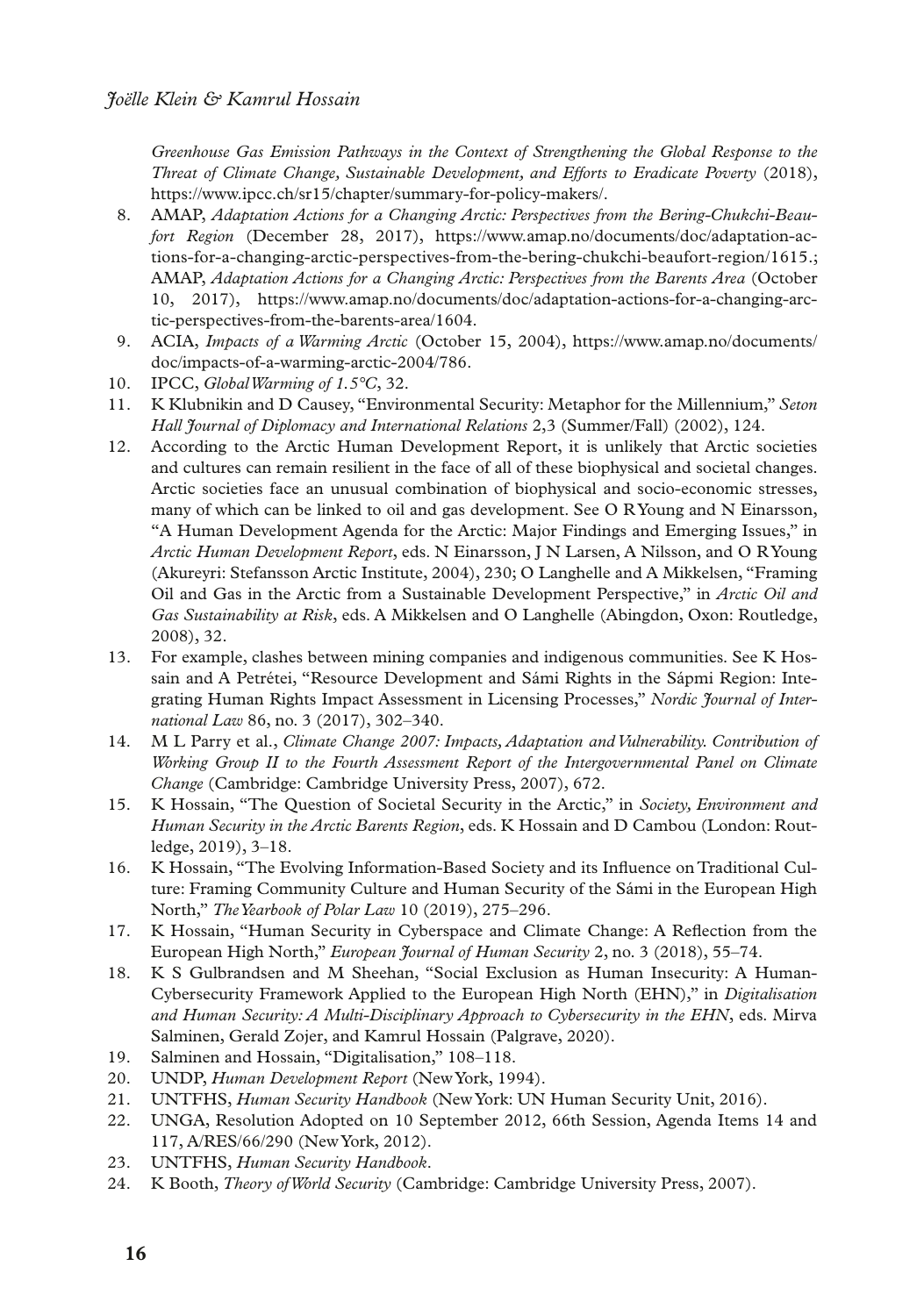*Greenhouse Gas Emission Pathways in the Context of Strengthening the Global Response to the Threat of Climate Change, Sustainable Development, and Efforts to Eradicate Poverty* (2018), https://www.ipcc.ch/sr15/chapter/summary-for-policy-makers/.

- 8. AMAP, *Adaptation Actions for a Changing Arctic: Perspectives from the Bering-Chukchi-Beaufort Region* (December 28, 2017), https://www.amap.no/documents/doc/adaptation-actions-for-a-changing-arctic-perspectives-from-the-bering-chukchi-beaufort-region/1615.; AMAP, *Adaptation Actions for a Changing Arctic: Perspectives from the Barents Area* (October 10, 2017), https://www.amap.no/documents/doc/adaptation-actions-for-a-changing-arctic-perspectives-from-the-barents-area/1604.
- 9. ACIA, *Impacts of a Warming Arctic* (October 15, 2004), [https://www.amap.no/documents/](https://www.amap.no/documents/doc/impacts-of-a-warming-arctic-2004/786) [doc/impacts-of-a-warming-arctic-2004/786.](https://www.amap.no/documents/doc/impacts-of-a-warming-arctic-2004/786)
- 10. IPCC, *Global Warming of 1.5°C*, 32.
- 11. K Klubnikin and D Causey, "Environmental Security: Metaphor for the Millennium," *Seton Hall Journal of Diplomacy and International Relations* 2,3 (Summer/Fall) (2002), 124.
- 12. According to the Arctic Human Development Report, it is unlikely that Arctic societies and cultures can remain resilient in the face of all of these biophysical and societal changes. Arctic societies face an unusual combination of biophysical and socio-economic stresses, many of which can be linked to oil and gas development. See O R Young and N Einarsson, "A Human Development Agenda for the Arctic: Major Findings and Emerging Issues," in *Arctic Human Development Report*, eds. N Einarsson, J N Larsen, A Nilsson, and O R Young (Akureyri: Stefansson Arctic Institute, 2004), 230; O Langhelle and A Mikkelsen, "Framing Oil and Gas in the Arctic from a Sustainable Development Perspective," in *Arctic Oil and Gas Sustainability at Risk*, eds. A Mikkelsen and O Langhelle (Abingdon, Oxon: Routledge, 2008), 32.
- 13. For example, clashes between mining companies and indigenous communities. See K Hossain and A Petrétei, "Resource Development and Sámi Rights in the Sápmi Region: Integrating Human Rights Impact Assessment in Licensing Processes," *Nordic Journal of International Law* 86, no. 3 (2017), 302–340.
- 14. M L Parry et al., *Climate Change 2007: Impacts, Adaptation and Vulnerability. Contribution of Working Group II to the Fourth Assessment Report of the Intergovernmental Panel on Climate Change* (Cambridge: Cambridge University Press, 2007), 672.
- 15. K Hossain, "The Question of Societal Security in the Arctic," in *Society, Environment and Human Security in the Arctic Barents Region*, eds. K Hossain and D Cambou (London: Routledge, 2019), 3–18.
- 16. K Hossain, "The Evolving Information-Based Society and its Infuence on Traditional Culture: Framing Community Culture and Human Security of the Sámi in the European High North," *The Yearbook of Polar Law* 10 (2019), 275–296.
- 17. K Hossain, "Human Security in Cyberspace and Climate Change: A Refection from the European High North," *European Journal of Human Security* 2, no. 3 (2018), 55–74.
- 18. K S Gulbrandsen and M Sheehan, "Social Exclusion as Human Insecurity: A Human-Cybersecurity Framework Applied to the European High North (EHN)," in *Digitalisation and Human Security: A Multi-Disciplinary Approach to Cybersecurity in the EHN*, eds. Mirva Salminen, Gerald Zojer, and Kamrul Hossain (Palgrave, 2020).
- 19. Salminen and Hossain, "Digitalisation," 108–118.
- 20. UNDP, *Human Development Report* (New York, 1994).
- 21. UNTFHS, *Human Security Handbook* (New York: UN Human Security Unit, 2016).
- 22. UNGA, Resolution Adopted on 10 September 2012, 66th Session, Agenda Items 14 and 117, A/RES/66/290 (New York, 2012).
- 23. UNTFHS, *Human Security Handbook*.
- 24. K Booth, *Theory of World Security* (Cambridge: Cambridge University Press, 2007).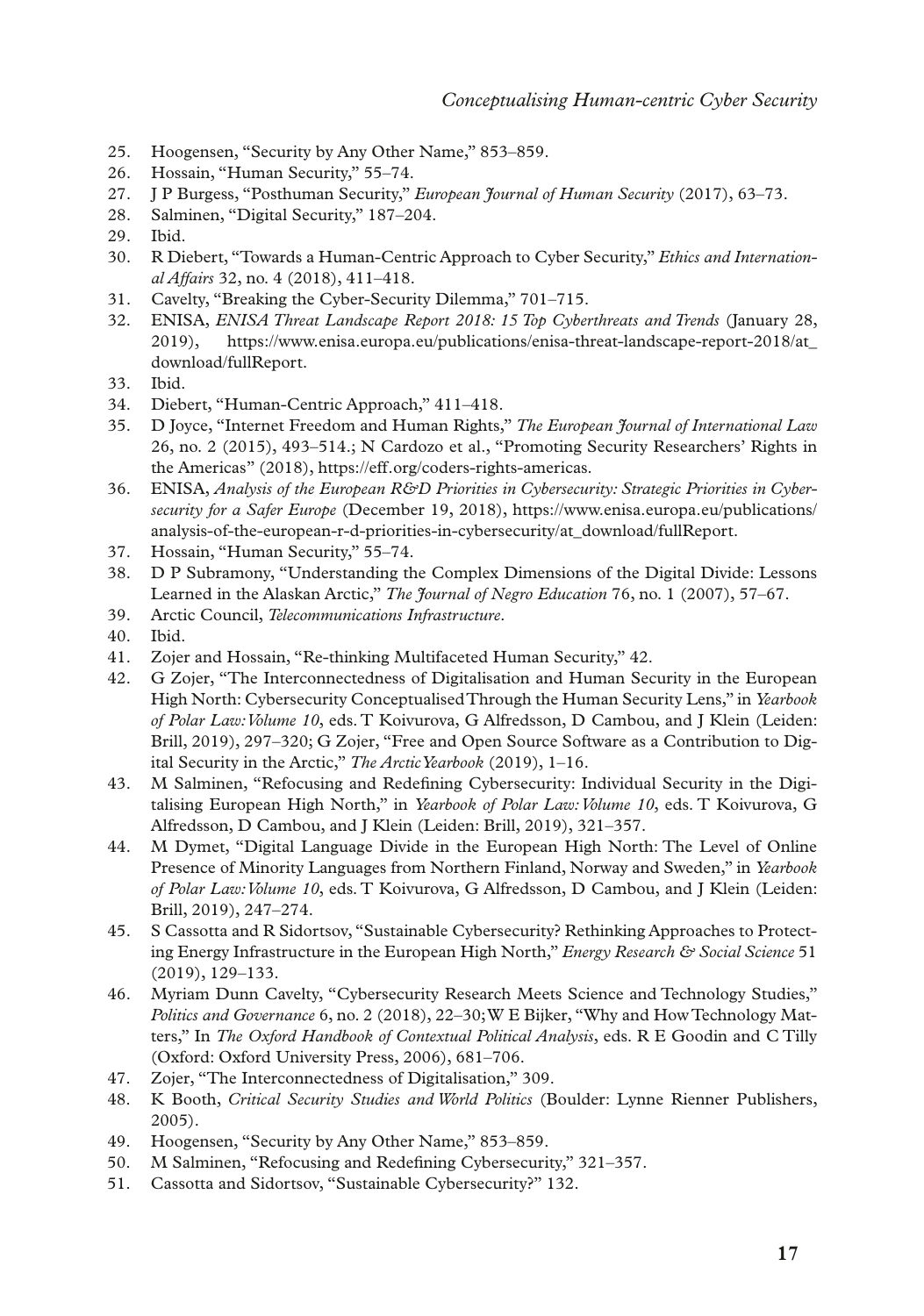- 25. Hoogensen, "Security by Any Other Name," 853–859.
- 26. Hossain, "Human Security," 55–74.
- 27. J P Burgess, "Posthuman Security," *European Journal of Human Security* (2017), 63–73.
- 28. Salminen, "Digital Security," 187–204.
- 29. Ibid.
- 30. R Diebert, "Towards a Human-Centric Approach to Cyber Security," *Ethics and International Affairs* 32, no. 4 (2018), 411–418.
- 31. Cavelty, "Breaking the Cyber-Security Dilemma," 701–715.
- 32. ENISA, *ENISA Threat Landscape Report 2018: 15 Top Cyberthreats and Trends* (January 28, 2019), [https://www.enisa.europa.eu/publications/enisa-threat-landscape-report-2018/at\\_](https://www.enisa.europa.eu/publications/enisa-threat-landscape-report-2018/at_download/fullReport) [download/fullReport.](https://www.enisa.europa.eu/publications/enisa-threat-landscape-report-2018/at_download/fullReport)
- 33. Ibid.
- 34. Diebert, "Human-Centric Approach," 411–418.
- 35. D Joyce, "Internet Freedom and Human Rights," *The European Journal of International Law* 26, no. 2 (2015), 493–514.; N Cardozo et al., "Promoting Security Researchers' Rights in the Americas" (2018), https://eff.org/coders-rights-americas.
- 36. ENISA, *Analysis of the European R&D Priorities in Cybersecurity: Strategic Priorities in Cybersecurity for a Safer Europe* (December 19, 2018), [https://www.enisa.europa.eu/publications/](https://www.enisa.europa.eu/publications/analysis-of-the-european-r-d-priorities-in-cybersecurity/at_download/fullReport.) [analysis-of-the-european-r-d-priorities-in-cybersecurity/at\\_download/fullReport.](https://www.enisa.europa.eu/publications/analysis-of-the-european-r-d-priorities-in-cybersecurity/at_download/fullReport.)
- 37. Hossain, "Human Security," 55–74.
- 38. D P Subramony, "Understanding the Complex Dimensions of the Digital Divide: Lessons Learned in the Alaskan Arctic," *The Journal of Negro Education* 76, no. 1 (2007), 57–67.
- 39. Arctic Council, *Telecommunications Infrastructure*.
- 40. Ibid.
- 41. Zojer and Hossain, "Re-thinking Multifaceted Human Security," 42.
- 42. G Zojer, "The Interconnectedness of Digitalisation and Human Security in the European High North: Cybersecurity Conceptualised Through the Human Security Lens," in *Yearbook of Polar Law: Volume 10*, eds. T Koivurova, G Alfredsson, D Cambou, and J Klein (Leiden: Brill, 2019), 297–320; G Zojer, "Free and Open Source Software as a Contribution to Digital Security in the Arctic," *The Arctic Yearbook* (2019), 1–16.
- 43. M Salminen, "Refocusing and Redefning Cybersecurity: Individual Security in the Digitalising European High North," in *Yearbook of Polar Law: Volume 10*, eds. T Koivurova, G Alfredsson, D Cambou, and J Klein (Leiden: Brill, 2019), 321–357.
- 44. M Dymet, "Digital Language Divide in the European High North: The Level of Online Presence of Minority Languages from Northern Finland, Norway and Sweden," in *Yearbook of Polar Law: Volume 10*, eds. T Koivurova, G Alfredsson, D Cambou, and J Klein (Leiden: Brill, 2019), 247–274.
- 45. S Cassotta and R Sidortsov, "Sustainable Cybersecurity? Rethinking Approaches to Protecting Energy Infrastructure in the European High North," *Energy Research & Social Science* 51 (2019), 129–133.
- 46. Myriam Dunn Cavelty, "Cybersecurity Research Meets Science and Technology Studies," *Politics and Governance* 6, no. 2 (2018), 22–30; W E Bijker, "Why and How Technology Matters," In *The Oxford Handbook of Contextual Political Analysis*, eds. R E Goodin and C Tilly (Oxford: Oxford University Press, 2006), 681–706.
- 47. Zojer, "The Interconnectedness of Digitalisation," 309.
- 48. K Booth, *Critical Security Studies and World Politics* (Boulder: Lynne Rienner Publishers, 2005).
- 49. Hoogensen, "Security by Any Other Name," 853–859.
- 50. M Salminen, "Refocusing and Redefning Cybersecurity," 321–357.
- 51. Cassotta and Sidortsov, "Sustainable Cybersecurity?" 132.